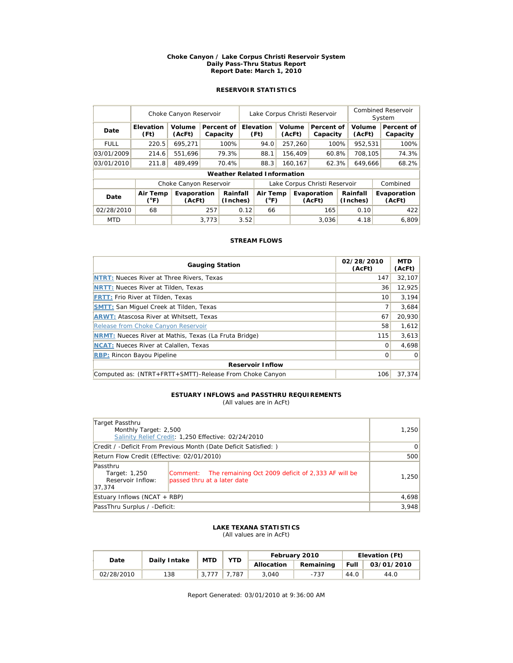#### **Choke Canyon / Lake Corpus Christi Reservoir System Daily Pass-Thru Status Report Report Date: March 1, 2010**

# **RESERVOIR STATISTICS**

|             | Choke Canyon Reservoir |                        |       |                        | Lake Corpus Christi Reservoir |                                    |  |                  |                               |         | <b>Combined Reservoir</b><br>System |  |                        |
|-------------|------------------------|------------------------|-------|------------------------|-------------------------------|------------------------------------|--|------------------|-------------------------------|---------|-------------------------------------|--|------------------------|
| Date        | Elevation<br>(Ft)      | Volume<br>(AcFt)       |       | Percent of<br>Capacity |                               | Elevation<br>(Ft)                  |  | Volume<br>(AcFt) | Percent of<br>Capacity        |         | Volume<br>(AcFt)                    |  | Percent of<br>Capacity |
| <b>FULL</b> | 220.5                  | 695,271                |       | 100%                   |                               | 94.0                               |  | 257,260          | 100%                          |         | 952,531                             |  | 100%                   |
| 03/01/2009  | 214.6                  | 551.696                |       | 79.3%                  |                               | 88.1                               |  | 156.409          | 60.8%                         |         | 708.105                             |  | 74.3%                  |
| 03/01/2010  | 211.8                  | 489.499                |       | 70.4%                  |                               | 88.3                               |  | 160,167<br>62.3% |                               | 649,666 |                                     |  | 68.2%                  |
|             |                        |                        |       |                        |                               | <b>Weather Related Information</b> |  |                  |                               |         |                                     |  |                        |
|             |                        | Choke Canyon Reservoir |       |                        |                               |                                    |  |                  | Lake Corpus Christi Reservoir |         |                                     |  | Combined               |
| Date        | Air Temp<br>(°F)       | Evaporation<br>(AcFt)  |       | Rainfall<br>(Inches)   |                               | Air Temp<br>$(^{\circ}F)$          |  |                  | Evaporation<br>(AcFt)         |         | Rainfall<br>(Inches)                |  | Evaporation<br>(AcFt)  |
| 02/28/2010  | 68                     |                        | 257   |                        | 0.12                          | 66                                 |  |                  | 165                           |         | 0.10                                |  | 422                    |
| <b>MTD</b>  |                        |                        | 3.773 |                        | 3.52                          |                                    |  |                  | 3.036                         |         | 4.18                                |  | 6.809                  |

## **STREAM FLOWS**

| <b>Gauging Station</b>                                       | 02/28/2010<br>(AcFt) | <b>MTD</b><br>(AcFt) |  |  |  |  |  |  |
|--------------------------------------------------------------|----------------------|----------------------|--|--|--|--|--|--|
| <b>NTRT: Nueces River at Three Rivers, Texas</b>             | 147                  | 32,107               |  |  |  |  |  |  |
| <b>NRTT: Nueces River at Tilden, Texas</b>                   | 36                   | 12,925               |  |  |  |  |  |  |
| <b>FRTT: Frio River at Tilden, Texas</b>                     | 10                   | 3.194                |  |  |  |  |  |  |
| <b>SMTT: San Miquel Creek at Tilden, Texas</b>               |                      | 3,684                |  |  |  |  |  |  |
| <b>ARWT: Atascosa River at Whitsett, Texas</b>               | 67                   | 20,930               |  |  |  |  |  |  |
| Release from Choke Canyon Reservoir                          | 58                   | 1,612                |  |  |  |  |  |  |
| <b>NRMT:</b> Nueces River at Mathis, Texas (La Fruta Bridge) | 115                  | 3,613                |  |  |  |  |  |  |
| <b>NCAT:</b> Nueces River at Calallen, Texas                 | $\Omega$             | 4,698                |  |  |  |  |  |  |
| <b>RBP: Rincon Bayou Pipeline</b>                            | 0                    | $\Omega$             |  |  |  |  |  |  |
| <b>Reservoir Inflow</b>                                      |                      |                      |  |  |  |  |  |  |
| Computed as: (NTRT+FRTT+SMTT)-Release From Choke Canyon      | 106                  | 37.374               |  |  |  |  |  |  |

# **ESTUARY INFLOWS and PASSTHRU REQUIREMENTS**

(All values are in AcFt)

| Target Passthru<br>Monthly Target: 2,500                        | Salinity Relief Credit: 1,250 Effective: 02/24/2010                                        | 1,250 |
|-----------------------------------------------------------------|--------------------------------------------------------------------------------------------|-------|
| Credit / -Deficit From Previous Month (Date Deficit Satisfied:) | $\Omega$                                                                                   |       |
| Return Flow Credit (Effective: 02/01/2010)                      | 500                                                                                        |       |
| Passthru<br>Target: 1,250<br>Reservoir Inflow:<br>37.374        | Comment: The remaining Oct 2009 deficit of 2,333 AF will be<br>passed thru at a later date | 1,250 |
| Estuary Inflows (NCAT + RBP)                                    | 4,698                                                                                      |       |
| PassThru Surplus / -Deficit:                                    | 3,948                                                                                      |       |

### **LAKE TEXANA STATISTICS** (All values are in AcFt)

| Date       | Daily Intake | <b>MTD</b> | YTD  |            | February 2010 | Elevation (Ft) |            |  |
|------------|--------------|------------|------|------------|---------------|----------------|------------|--|
|            |              |            |      | Allocation | Remaining     | Full           | 03/01/2010 |  |
| 02/28/2010 | 138          |            | .787 | 3.040      | -737          | 44.0           | 44.0       |  |

Report Generated: 03/01/2010 at 9:36:00 AM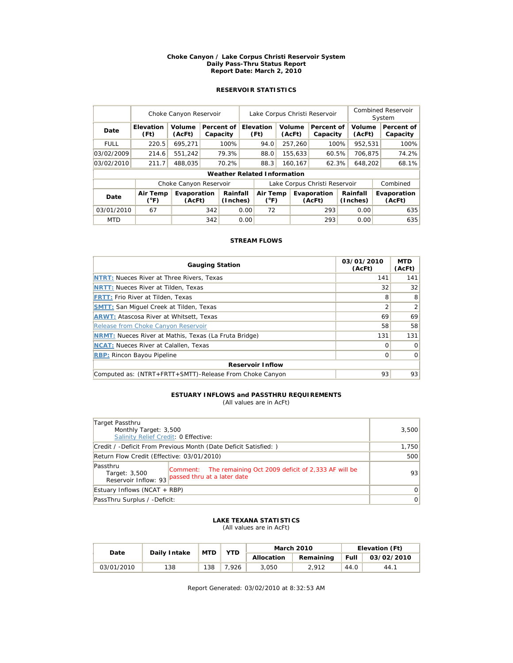#### **Choke Canyon / Lake Corpus Christi Reservoir System Daily Pass-Thru Status Report Report Date: March 2, 2010**

# **RESERVOIR STATISTICS**

|             | Choke Canyon Reservoir    |                        |     |                                    |                           | Lake Corpus Christi Reservoir |  |                       |                               |                      |                  | Combined Reservoir<br>System |                        |  |
|-------------|---------------------------|------------------------|-----|------------------------------------|---------------------------|-------------------------------|--|-----------------------|-------------------------------|----------------------|------------------|------------------------------|------------------------|--|
| Date        | <b>Elevation</b><br>(Ft)  | Volume<br>(AcFt)       |     | Percent of<br>Capacity             |                           | Elevation<br>(Ft)             |  | Volume<br>(AcFt)      | Percent of<br>Capacity        |                      | Volume<br>(AcFt) |                              | Percent of<br>Capacity |  |
| <b>FULL</b> | 220.5                     | 695.271                |     | 100%                               |                           | 94.0                          |  | 257,260               | 100%                          |                      | 952,531          |                              | 100%                   |  |
| 03/02/2009  | 214.6                     | 551.242                |     | 79.3%                              |                           | 88.0                          |  | 155,633               | 60.5%                         |                      | 706.875          |                              | 74.2%                  |  |
| 03/02/2010  | 211.7                     | 488,035                |     | 70.2%                              |                           | 88.3                          |  | 160,167<br>62.3%      |                               | 648.202              |                  |                              | 68.1%                  |  |
|             |                           |                        |     | <b>Weather Related Information</b> |                           |                               |  |                       |                               |                      |                  |                              |                        |  |
|             |                           | Choke Canyon Reservoir |     |                                    |                           |                               |  |                       | Lake Corpus Christi Reservoir |                      |                  |                              | Combined               |  |
| Date        | Air Temp<br>$(^{\circ}F)$ | Evaporation<br>(AcFt)  |     | Rainfall<br>(Inches)               | Air Temp<br>$(^{\circ}F)$ |                               |  | Evaporation<br>(AcFt) |                               | Rainfall<br>(Inches) |                  |                              | Evaporation<br>(AcFt)  |  |
| 03/01/2010  | 67                        |                        | 342 |                                    | 0.00                      | 72                            |  |                       | 293                           |                      | 0.00             |                              | 635                    |  |
| <b>MTD</b>  |                           |                        | 342 |                                    | 0.00                      |                               |  |                       | 293                           |                      | 0.00             |                              | 635                    |  |

## **STREAM FLOWS**

| <b>Gauging Station</b>                                       | 03/01/2010<br>(AcFt) | <b>MTD</b><br>(AcFt) |  |  |  |  |  |  |
|--------------------------------------------------------------|----------------------|----------------------|--|--|--|--|--|--|
| <b>NTRT: Nueces River at Three Rivers, Texas</b>             | 141                  | 141                  |  |  |  |  |  |  |
| <b>NRTT: Nueces River at Tilden, Texas</b>                   | 32                   | 32                   |  |  |  |  |  |  |
| <b>FRTT: Frio River at Tilden, Texas</b>                     | 8                    | 8                    |  |  |  |  |  |  |
| <b>SMTT: San Miquel Creek at Tilden, Texas</b>               |                      | $\overline{2}$       |  |  |  |  |  |  |
| <b>ARWT: Atascosa River at Whitsett, Texas</b>               | 69                   | 69                   |  |  |  |  |  |  |
| Release from Choke Canyon Reservoir                          | 58                   | 58                   |  |  |  |  |  |  |
| <b>NRMT:</b> Nueces River at Mathis, Texas (La Fruta Bridge) | 131                  | 131                  |  |  |  |  |  |  |
| <b>NCAT:</b> Nueces River at Calallen, Texas                 | Ω                    | $\Omega$             |  |  |  |  |  |  |
| <b>RBP:</b> Rincon Bayou Pipeline                            | 0                    | $\mathbf 0$          |  |  |  |  |  |  |
| <b>Reservoir Inflow</b>                                      |                      |                      |  |  |  |  |  |  |
| Computed as: (NTRT+FRTT+SMTT)-Release From Choke Canyon      | 93                   | 93                   |  |  |  |  |  |  |

# **ESTUARY INFLOWS and PASSTHRU REQUIREMENTS**

(All values are in AcFt)

| Target Passthru                                                 |                                                                                                                 |    |
|-----------------------------------------------------------------|-----------------------------------------------------------------------------------------------------------------|----|
| Monthly Target: 3,500<br>Salinity Relief Credit: 0 Effective:   | 3,500                                                                                                           |    |
| Credit / -Deficit From Previous Month (Date Deficit Satisfied:) | 1,750                                                                                                           |    |
| Return Flow Credit (Effective: 03/01/2010)                      | 500                                                                                                             |    |
| Passthru<br>Target: 3,500                                       | Comment: The remaining Oct 2009 deficit of 2,333 AF will be<br>Reservoir Inflow: 93 passed thru at a later date | 93 |
| Estuary Inflows (NCAT + RBP)                                    | $\Omega$                                                                                                        |    |
| PassThru Surplus / -Deficit:                                    | $\Omega$                                                                                                        |    |

# **LAKE TEXANA STATISTICS**

(All values are in AcFt)

| Date       | Daily Intake | <b>MTD</b> | YTD   |            | <b>March 2010</b> | Elevation (Ft) |            |  |
|------------|--------------|------------|-------|------------|-------------------|----------------|------------|--|
|            |              |            |       | Allocation | Remaining         | Full           | 03/02/2010 |  |
| 03/01/2010 | 138          | 138        | 7.926 | 3.050      | 2.912             | 44.0           | 44.1       |  |

Report Generated: 03/02/2010 at 8:32:53 AM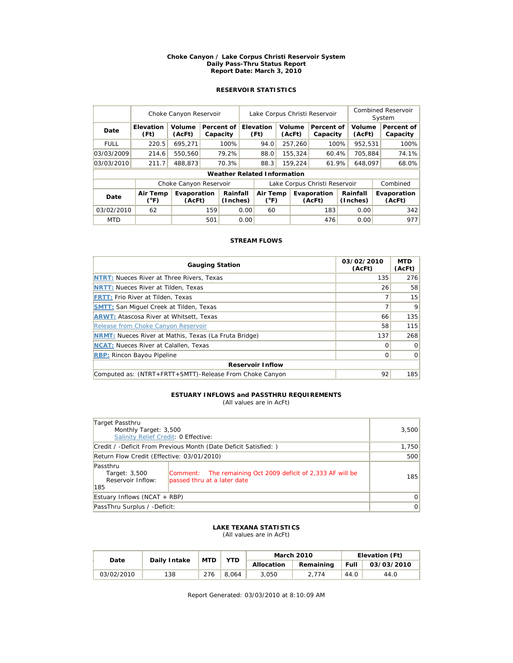#### **Choke Canyon / Lake Corpus Christi Reservoir System Daily Pass-Thru Status Report Report Date: March 3, 2010**

# **RESERVOIR STATISTICS**

|             | Choke Canyon Reservoir    |                        |     |                        | Lake Corpus Christi Reservoir |                                    |  |                  |                               |         | <b>Combined Reservoir</b><br>System |  |                        |
|-------------|---------------------------|------------------------|-----|------------------------|-------------------------------|------------------------------------|--|------------------|-------------------------------|---------|-------------------------------------|--|------------------------|
| Date        | <b>Elevation</b><br>(Ft)  | Volume<br>(AcFt)       |     | Percent of<br>Capacity |                               | <b>Elevation</b><br>(Ft)           |  | Volume<br>(AcFt) | Percent of<br>Capacity        |         | Volume<br>(AcFt)                    |  | Percent of<br>Capacity |
| <b>FULL</b> | 220.5                     | 695.271                |     | 100%                   |                               | 94.0                               |  | 257,260          | 100%                          |         | 952,531                             |  | 100%                   |
| 03/03/2009  | 214.6                     | 550,560                |     | 79.2%                  |                               | 88.0                               |  | 155.324          | 60.4%                         |         | 705.884                             |  | 74.1%                  |
| 03/03/2010  | 211.7                     | 488.873                |     | 70.3%                  |                               | 88.3                               |  | 61.9%<br>159,224 |                               | 648.097 |                                     |  | 68.0%                  |
|             |                           |                        |     |                        |                               | <b>Weather Related Information</b> |  |                  |                               |         |                                     |  |                        |
|             |                           | Choke Canyon Reservoir |     |                        |                               |                                    |  |                  | Lake Corpus Christi Reservoir |         |                                     |  | Combined               |
| Date        | Air Temp<br>$(^{\circ}F)$ | Evaporation<br>(AcFt)  |     | Rainfall<br>(Inches)   |                               | Air Temp<br>$(^{\circ}F)$          |  |                  | Evaporation<br>(AcFt)         |         | Rainfall<br>(Inches)                |  | Evaporation<br>(AcFt)  |
| 03/02/2010  | 62                        |                        | 159 |                        | 0.00                          | 60                                 |  |                  | 183                           |         | 0.00                                |  | 342                    |
| <b>MTD</b>  |                           |                        | 501 |                        | 0.00                          |                                    |  |                  | 476                           |         | 0.00                                |  | 977                    |

## **STREAM FLOWS**

| <b>Gauging Station</b>                                       | 03/02/2010<br>(AcFt) | <b>MTD</b><br>(AcFt) |  |  |  |  |  |  |
|--------------------------------------------------------------|----------------------|----------------------|--|--|--|--|--|--|
| <b>NTRT: Nueces River at Three Rivers, Texas</b>             | 135                  | 276                  |  |  |  |  |  |  |
| <b>NRTT: Nueces River at Tilden, Texas</b>                   | 26                   | 58                   |  |  |  |  |  |  |
| <b>FRTT: Frio River at Tilden, Texas</b>                     |                      | 15                   |  |  |  |  |  |  |
| <b>SMTT: San Miquel Creek at Tilden, Texas</b>               |                      | 9                    |  |  |  |  |  |  |
| <b>ARWT: Atascosa River at Whitsett, Texas</b>               | 66                   | 135                  |  |  |  |  |  |  |
| Release from Choke Canyon Reservoir                          | 58                   | 115                  |  |  |  |  |  |  |
| <b>NRMT:</b> Nueces River at Mathis, Texas (La Fruta Bridge) | 137                  | 268                  |  |  |  |  |  |  |
| <b>NCAT:</b> Nueces River at Calallen, Texas                 | Ω                    | $\Omega$             |  |  |  |  |  |  |
| <b>RBP: Rincon Bayou Pipeline</b>                            | 0                    | $\mathbf 0$          |  |  |  |  |  |  |
| <b>Reservoir Inflow</b>                                      |                      |                      |  |  |  |  |  |  |
| Computed as: (NTRT+FRTT+SMTT)-Release From Choke Canyon      | 92                   | 185                  |  |  |  |  |  |  |

#### **ESTUARY INFLOWS and PASSTHRU REQUIREMENTS** (All values are in AcFt)

| Target Passthru<br>Monthly Target: 3,500              | 3,500                                                                                      |       |
|-------------------------------------------------------|--------------------------------------------------------------------------------------------|-------|
| Salinity Relief Credit: 0 Effective:                  |                                                                                            |       |
|                                                       | Credit / -Deficit From Previous Month (Date Deficit Satisfied: )                           | 1,750 |
| Return Flow Credit (Effective: 03/01/2010)            | 500                                                                                        |       |
| Passthru<br>Target: 3,500<br>Reservoir Inflow:<br>185 | Comment: The remaining Oct 2009 deficit of 2,333 AF will be<br>passed thru at a later date | 185   |
| Estuary Inflows (NCAT + RBP)                          | $\overline{0}$                                                                             |       |
| PassThru Surplus / -Deficit:                          | 0                                                                                          |       |

#### **LAKE TEXANA STATISTICS** (All values are in AcFt)

| Date       | Daily Intake | <b>MTD</b> | YTD   |            | <b>March 2010</b> | Elevation (Ft) |            |  |
|------------|--------------|------------|-------|------------|-------------------|----------------|------------|--|
|            |              |            |       | Allocation | Remaining         | <b>Full</b>    | 03/03/2010 |  |
| 03/02/2010 | 138          | 276        | 8.064 | 3.050      | 2.774             | 44.0           | 44.0       |  |

Report Generated: 03/03/2010 at 8:10:09 AM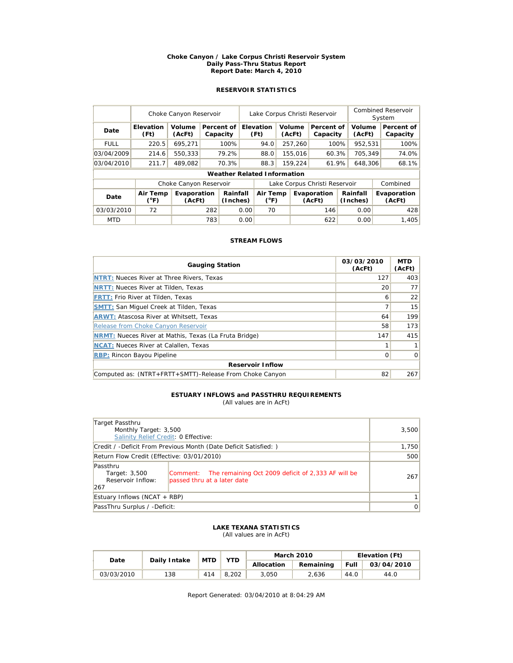#### **Choke Canyon / Lake Corpus Christi Reservoir System Daily Pass-Thru Status Report Report Date: March 4, 2010**

# **RESERVOIR STATISTICS**

|             | Choke Canyon Reservoir |                        | Lake Corpus Christi Reservoir |                                    |      |                          |                         |                               | <b>Combined Reservoir</b><br>System |         |                      |          |                        |  |                       |
|-------------|------------------------|------------------------|-------------------------------|------------------------------------|------|--------------------------|-------------------------|-------------------------------|-------------------------------------|---------|----------------------|----------|------------------------|--|-----------------------|
| Date        | Elevation<br>(Ft)      | Volume<br>(AcFt)       |                               | Percent of<br>Capacity             |      | <b>Elevation</b><br>(Ft) |                         | Volume<br>(AcFt)              | Percent of<br>Capacity              |         | Volume<br>(AcFt)     |          | Percent of<br>Capacity |  |                       |
| <b>FULL</b> | 220.5                  | 695.271                |                               | 100%                               |      | 94.0                     |                         | 257,260                       | 100%                                |         | 952,531              |          | 100%                   |  |                       |
| 03/04/2009  | 214.6                  | 550.333                |                               | 79.2%                              |      | 88.0                     |                         | 155.016                       | 60.3%                               |         | 705.349              |          | 74.0%                  |  |                       |
| 03/04/2010  | 211.7                  | 489.082                |                               | 70.3%                              |      | 88.3                     |                         | 159,224<br>61.9%              |                                     | 648,306 |                      |          | 68.1%                  |  |                       |
|             |                        |                        |                               | <b>Weather Related Information</b> |      |                          |                         |                               |                                     |         |                      |          |                        |  |                       |
|             |                        | Choke Canyon Reservoir |                               |                                    |      |                          |                         | Lake Corpus Christi Reservoir |                                     |         |                      | Combined |                        |  |                       |
| Date        | Air Temp<br>(°F)       | Evaporation<br>(AcFt)  |                               | Rainfall<br>(Inches)               |      |                          | $(^{\circ}F)$<br>(AcFt) |                               | Air Temp<br>Evaporation             |         | Rainfall<br>(Inches) |          |                        |  | Evaporation<br>(AcFt) |
| 03/03/2010  | 72                     |                        | 282                           |                                    | 0.00 | 70                       |                         |                               | 146                                 |         | 0.00                 |          | 428                    |  |                       |
| <b>MTD</b>  |                        |                        | 783                           |                                    | 0.00 |                          |                         |                               | 622                                 |         | 0.00                 |          | 1.405                  |  |                       |

## **STREAM FLOWS**

| <b>Gauging Station</b>                                       | 03/03/2010<br>(AcFt) | <b>MTD</b><br>(AcFt) |  |  |  |  |  |  |
|--------------------------------------------------------------|----------------------|----------------------|--|--|--|--|--|--|
| <b>NTRT: Nueces River at Three Rivers, Texas</b>             | 127                  | 403                  |  |  |  |  |  |  |
| <b>NRTT: Nueces River at Tilden, Texas</b>                   | 20                   | 77                   |  |  |  |  |  |  |
| <b>FRTT: Frio River at Tilden, Texas</b>                     | 6                    | 22                   |  |  |  |  |  |  |
| <b>SMTT: San Miquel Creek at Tilden, Texas</b>               |                      | 15                   |  |  |  |  |  |  |
| <b>ARWT: Atascosa River at Whitsett, Texas</b>               | 64                   | 199                  |  |  |  |  |  |  |
| Release from Choke Canyon Reservoir                          | 58                   | 173                  |  |  |  |  |  |  |
| <b>NRMT:</b> Nueces River at Mathis, Texas (La Fruta Bridge) | 147                  | 415                  |  |  |  |  |  |  |
| <b>NCAT:</b> Nueces River at Calallen, Texas                 |                      |                      |  |  |  |  |  |  |
| <b>RBP: Rincon Bayou Pipeline</b>                            | 0                    | $\Omega$             |  |  |  |  |  |  |
| <b>Reservoir Inflow</b>                                      |                      |                      |  |  |  |  |  |  |
| Computed as: (NTRT+FRTT+SMTT)-Release From Choke Canyon      | 82                   | 267                  |  |  |  |  |  |  |

#### **ESTUARY INFLOWS and PASSTHRU REQUIREMENTS** (All values are in AcFt)

| Target Passthru<br>Monthly Target: 3,500<br>Salinity Relief Credit: 0 Effective: |                                                                                            | 3,500 |
|----------------------------------------------------------------------------------|--------------------------------------------------------------------------------------------|-------|
| Credit / -Deficit From Previous Month (Date Deficit Satisfied: )                 | 1,750                                                                                      |       |
| Return Flow Credit (Effective: 03/01/2010)                                       | 500                                                                                        |       |
| Passthru<br>Target: 3,500<br>Reservoir Inflow:<br>267                            | Comment: The remaining Oct 2009 deficit of 2,333 AF will be<br>passed thru at a later date | 267   |
| Estuary Inflows (NCAT + RBP)                                                     | 1                                                                                          |       |
| PassThru Surplus / -Deficit:                                                     | $\overline{0}$                                                                             |       |

### **LAKE TEXANA STATISTICS** (All values are in AcFt)

| Date       | Daily Intake | <b>MTD</b> | YTD   |            | <b>March 2010</b> | Elevation (Ft) |            |  |
|------------|--------------|------------|-------|------------|-------------------|----------------|------------|--|
|            |              |            |       | Allocation | Remaining         | Full           | 03/04/2010 |  |
| 03/03/2010 | 138          | 414        | 8.202 | 3.050      | 2.636             | 44.0           | 44.0       |  |

Report Generated: 03/04/2010 at 8:04:29 AM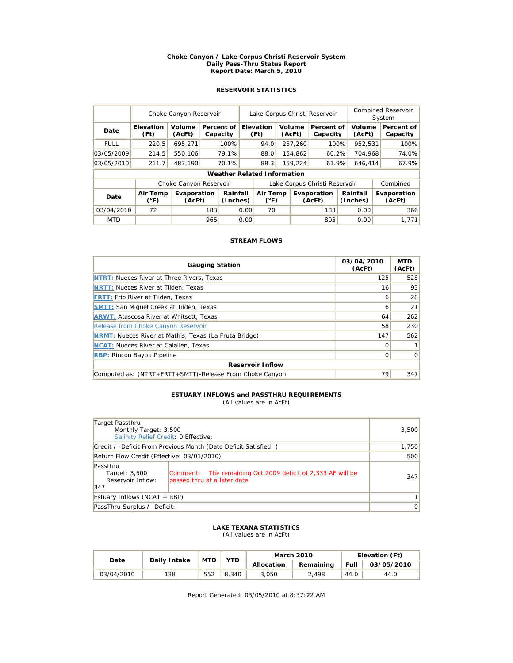#### **Choke Canyon / Lake Corpus Christi Reservoir System Daily Pass-Thru Status Report Report Date: March 5, 2010**

# **RESERVOIR STATISTICS**

|             | Choke Canyon Reservoir    |                        |       |                                    |      | Lake Corpus Christi Reservoir                      |    |                      |                               |                       |                  | Combined Reservoir<br>System |                        |  |
|-------------|---------------------------|------------------------|-------|------------------------------------|------|----------------------------------------------------|----|----------------------|-------------------------------|-----------------------|------------------|------------------------------|------------------------|--|
| Date        | <b>Elevation</b><br>(Ft)  | Volume<br>(AcFt)       |       | Percent of<br>Capacity             |      | Elevation<br>(Ft)                                  |    | Volume<br>(AcFt)     | Percent of<br>Capacity        |                       | Volume<br>(AcFt) |                              | Percent of<br>Capacity |  |
| <b>FULL</b> | 220.5                     | 695.271                |       | 100%                               |      | 94.0                                               |    | 257,260              | 100%                          |                       | 952,531          |                              | 100%                   |  |
| 03/05/2009  | 214.5                     | 550.106                |       | 79.1%                              |      | 88.0                                               |    | 154,862              | 60.2%                         |                       | 704.968          |                              | 74.0%                  |  |
| 03/05/2010  | 211.7                     | 487.190                | 70.1% |                                    |      | 88.3<br>159,224                                    |    | 61.9%                |                               | 646,414               |                  | 67.9%                        |                        |  |
|             |                           |                        |       | <b>Weather Related Information</b> |      |                                                    |    |                      |                               |                       |                  |                              |                        |  |
|             |                           | Choke Canyon Reservoir |       |                                    |      |                                                    |    |                      | Lake Corpus Christi Reservoir |                       |                  |                              | Combined               |  |
| Date        | Air Temp<br>$(^{\circ}F)$ | Evaporation<br>(AcFt)  |       | Rainfall<br>(Inches)               |      | Air Temp<br>Evaporation<br>$(^{\circ}F)$<br>(AcFt) |    | Rainfall<br>(Inches) |                               | Evaporation<br>(AcFt) |                  |                              |                        |  |
| 03/04/2010  | 72                        |                        | 183   |                                    | 0.00 |                                                    | 70 |                      | 183                           |                       | 0.00             |                              | 366                    |  |
| <b>MTD</b>  |                           |                        | 966   |                                    | 0.00 |                                                    |    |                      | 805                           |                       | 0.00             |                              | 1.771                  |  |

## **STREAM FLOWS**

| <b>Gauging Station</b>                                       | 03/04/2010<br>(AcFt) | <b>MTD</b><br>(AcFt) |  |  |  |  |  |
|--------------------------------------------------------------|----------------------|----------------------|--|--|--|--|--|
| <b>NTRT: Nueces River at Three Rivers, Texas</b>             | 125                  | 528                  |  |  |  |  |  |
| <b>NRTT: Nueces River at Tilden, Texas</b>                   | 16                   | 93                   |  |  |  |  |  |
| <b>FRTT: Frio River at Tilden, Texas</b>                     | 6                    | 28                   |  |  |  |  |  |
| <b>SMTT: San Miquel Creek at Tilden, Texas</b>               | 6                    | 21                   |  |  |  |  |  |
| <b>ARWT: Atascosa River at Whitsett, Texas</b>               | 64                   | 262                  |  |  |  |  |  |
| <b>Release from Choke Canvon Reservoir</b>                   | 58                   | 230                  |  |  |  |  |  |
| <b>NRMT:</b> Nueces River at Mathis, Texas (La Fruta Bridge) | 147                  | 562                  |  |  |  |  |  |
| <b>NCAT:</b> Nueces River at Calallen, Texas                 | O                    |                      |  |  |  |  |  |
| <b>RBP: Rincon Bayou Pipeline</b>                            | 0                    | $\Omega$             |  |  |  |  |  |
| <b>Reservoir Inflow</b>                                      |                      |                      |  |  |  |  |  |
| Computed as: (NTRT+FRTT+SMTT)-Release From Choke Canyon      | 79                   | 347                  |  |  |  |  |  |

#### **ESTUARY INFLOWS and PASSTHRU REQUIREMENTS** (All values are in AcFt)

| Target Passthru<br>Monthly Target: 3,500<br>Salinity Relief Credit: 0 Effective: | 3,500                                                                                      |     |
|----------------------------------------------------------------------------------|--------------------------------------------------------------------------------------------|-----|
| Credit / -Deficit From Previous Month (Date Deficit Satisfied: )                 | 1,750                                                                                      |     |
| Return Flow Credit (Effective: 03/01/2010)                                       | 500                                                                                        |     |
| Passthru<br>Target: 3,500<br>Reservoir Inflow:<br>347                            | Comment: The remaining Oct 2009 deficit of 2,333 AF will be<br>passed thru at a later date | 347 |
| Estuary Inflows (NCAT + RBP)                                                     | 1                                                                                          |     |
| PassThru Surplus / -Deficit:                                                     | $\overline{0}$                                                                             |     |

### **LAKE TEXANA STATISTICS** (All values are in AcFt)

| Date       | Daily Intake | <b>MTD</b> | YTD   |            | <b>March 2010</b> | Elevation (Ft) |            |  |
|------------|--------------|------------|-------|------------|-------------------|----------------|------------|--|
|            |              |            |       | Allocation | Remaining         | <b>Full</b>    | 03/05/2010 |  |
| 03/04/2010 | 138          | 552        | 8.340 | 3.050      | 2.498             | 44.0           | 44.0       |  |

Report Generated: 03/05/2010 at 8:37:22 AM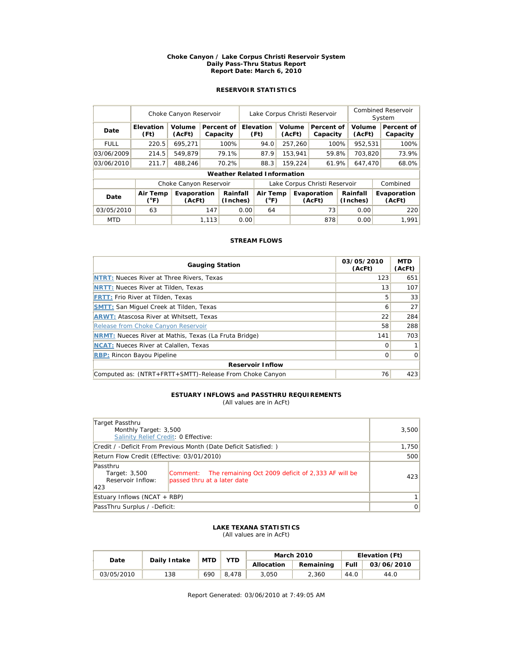#### **Choke Canyon / Lake Corpus Christi Reservoir System Daily Pass-Thru Status Report Report Date: March 6, 2010**

# **RESERVOIR STATISTICS**

|             | Choke Canyon Reservoir |                        | Lake Corpus Christi Reservoir |                        |      |                                    |  |                  | <b>Combined Reservoir</b><br>System |  |                      |  |                        |
|-------------|------------------------|------------------------|-------------------------------|------------------------|------|------------------------------------|--|------------------|-------------------------------------|--|----------------------|--|------------------------|
| Date        | Elevation<br>(Ft)      | Volume<br>(AcFt)       |                               | Percent of<br>Capacity |      | <b>Elevation</b><br>(Ft)           |  | Volume<br>(AcFt) | Percent of<br>Capacity              |  | Volume<br>(AcFt)     |  | Percent of<br>Capacity |
| <b>FULL</b> | 220.5                  | 695.271                |                               | 100%                   |      | 94.0                               |  | 257,260          | 100%                                |  | 952,531              |  | 100%                   |
| 03/06/2009  | 214.5                  | 549.879                |                               | 79.1%                  |      | 87.9                               |  | 153.941          | 59.8%                               |  | 703.820              |  | 73.9%                  |
| 03/06/2010  | 211.7                  | 488,246                |                               | 70.2%                  |      | 88.3                               |  | 159,224          | 61.9%                               |  | 647,470              |  | 68.0%                  |
|             |                        |                        |                               |                        |      | <b>Weather Related Information</b> |  |                  |                                     |  |                      |  |                        |
|             |                        | Choke Canyon Reservoir |                               |                        |      |                                    |  |                  | Lake Corpus Christi Reservoir       |  |                      |  | Combined               |
| Date        | Air Temp<br>(°F)       | Evaporation<br>(AcFt)  |                               | Rainfall<br>(Inches)   |      | Air Temp<br>$(^{\circ}F)$          |  |                  | Evaporation<br>(AcFt)               |  | Rainfall<br>(Inches) |  | Evaporation<br>(AcFt)  |
| 03/05/2010  | 63                     |                        | 147                           |                        | 0.00 | 64                                 |  |                  | 73                                  |  | 0.00                 |  | 220                    |
| <b>MTD</b>  |                        |                        | 1.113                         |                        | 0.00 |                                    |  |                  | 878                                 |  | 0.00                 |  | 1.991                  |

## **STREAM FLOWS**

| <b>Gauging Station</b>                                       | 03/05/2010<br>(AcFt) | <b>MTD</b><br>(AcFt) |  |  |  |  |  |  |
|--------------------------------------------------------------|----------------------|----------------------|--|--|--|--|--|--|
| <b>NTRT: Nueces River at Three Rivers, Texas</b>             | 123                  | 651                  |  |  |  |  |  |  |
| <b>NRTT: Nueces River at Tilden, Texas</b>                   | 13                   | 107                  |  |  |  |  |  |  |
| <b>FRTT: Frio River at Tilden, Texas</b>                     | 5                    | 33                   |  |  |  |  |  |  |
| <b>SMTT: San Miquel Creek at Tilden, Texas</b>               | 6                    | 27                   |  |  |  |  |  |  |
| <b>ARWT: Atascosa River at Whitsett, Texas</b>               | 22                   | 284                  |  |  |  |  |  |  |
| Release from Choke Canyon Reservoir                          | 58                   | 288                  |  |  |  |  |  |  |
| <b>NRMT:</b> Nueces River at Mathis, Texas (La Fruta Bridge) | 141                  | 703                  |  |  |  |  |  |  |
| <b>NCAT:</b> Nueces River at Calallen, Texas                 | Ω                    |                      |  |  |  |  |  |  |
| <b>RBP:</b> Rincon Bayou Pipeline                            | 0                    | $\mathbf 0$          |  |  |  |  |  |  |
| <b>Reservoir Inflow</b>                                      |                      |                      |  |  |  |  |  |  |
| Computed as: (NTRT+FRTT+SMTT)-Release From Choke Canyon      | 76                   | 423                  |  |  |  |  |  |  |

#### **ESTUARY INFLOWS and PASSTHRU REQUIREMENTS** (All values are in AcFt)

| Target Passthru<br>Monthly Target: 3,500<br>Salinity Relief Credit: 0 Effective: |                                                                                            | 3,500 |
|----------------------------------------------------------------------------------|--------------------------------------------------------------------------------------------|-------|
|                                                                                  | Credit / -Deficit From Previous Month (Date Deficit Satisfied: )                           | 1,750 |
| Return Flow Credit (Effective: 03/01/2010)                                       | 500                                                                                        |       |
| Passthru<br>Target: 3,500<br>Reservoir Inflow:<br>423                            | Comment: The remaining Oct 2009 deficit of 2,333 AF will be<br>passed thru at a later date | 423   |
| Estuary Inflows (NCAT + RBP)                                                     | 1                                                                                          |       |
| PassThru Surplus / -Deficit:                                                     | $\overline{0}$                                                                             |       |

### **LAKE TEXANA STATISTICS** (All values are in AcFt)

| Date       | Daily Intake | <b>MTD</b> | YTD   |            | <b>March 2010</b> | Elevation (Ft) |            |  |
|------------|--------------|------------|-------|------------|-------------------|----------------|------------|--|
|            |              |            |       | Allocation | Remaining         | Full           | 03/06/2010 |  |
| 03/05/2010 | 138          | 690        | 8.478 | 3.050      | 2.360             | 44.0           | 44.0       |  |

Report Generated: 03/06/2010 at 7:49:05 AM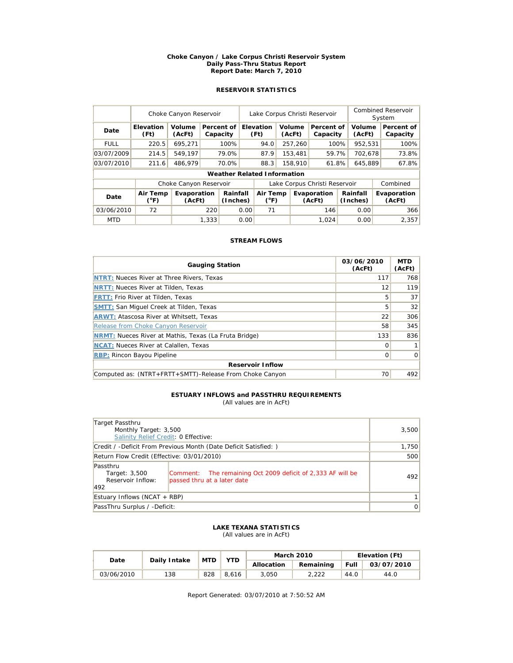#### **Choke Canyon / Lake Corpus Christi Reservoir System Daily Pass-Thru Status Report Report Date: March 7, 2010**

# **RESERVOIR STATISTICS**

|             | Choke Canyon Reservoir |                        |       |                                    | Lake Corpus Christi Reservoir |                           |                       |                  |                               |         | <b>Combined Reservoir</b><br>System |                       |                        |
|-------------|------------------------|------------------------|-------|------------------------------------|-------------------------------|---------------------------|-----------------------|------------------|-------------------------------|---------|-------------------------------------|-----------------------|------------------------|
| Date        | Elevation<br>(Ft)      | Volume<br>(AcFt)       |       | Percent of<br>Capacity             |                               | <b>Elevation</b><br>(Ft)  |                       | Volume<br>(AcFt) | Percent of<br>Capacity        |         | Volume<br>(AcFt)                    |                       | Percent of<br>Capacity |
| <b>FULL</b> | 220.5                  | 695.271                |       | 100%                               |                               | 94.0                      |                       | 257,260          | 100%                          |         | 952,531                             |                       | 100%                   |
| 03/07/2009  | 214.5                  | 549.197                |       | 79.0%                              |                               | 87.9                      |                       | 153.481          | 59.7%                         |         | 702.678                             |                       | 73.8%                  |
| 03/07/2010  | 211.6                  | 486.979                |       | 70.0%                              |                               | 88.3                      |                       | 158,910<br>61.8% |                               | 645.889 |                                     |                       | 67.8%                  |
|             |                        |                        |       | <b>Weather Related Information</b> |                               |                           |                       |                  |                               |         |                                     |                       |                        |
|             |                        | Choke Canyon Reservoir |       |                                    |                               |                           |                       |                  | Lake Corpus Christi Reservoir |         |                                     |                       | Combined               |
| Date        | Air Temp<br>(°F)       | Evaporation<br>(AcFt)  |       | Rainfall<br>(Inches)               |                               | Air Temp<br>$(^{\circ}F)$ | Evaporation<br>(AcFt) |                  | Rainfall<br>(Inches)          |         |                                     | Evaporation<br>(AcFt) |                        |
| 03/06/2010  | 72                     |                        | 220   |                                    | 0.00                          | 71                        |                       |                  | 146                           |         | 0.00                                |                       | 366                    |
| <b>MTD</b>  |                        |                        | 1.333 |                                    | 0.00                          |                           |                       |                  | 1.024                         |         | 0.00                                |                       | 2.357                  |

## **STREAM FLOWS**

| <b>Gauging Station</b>                                       | 03/06/2010<br>(AcFt) | <b>MTD</b><br>(AcFt) |  |  |  |  |  |  |
|--------------------------------------------------------------|----------------------|----------------------|--|--|--|--|--|--|
| <b>NTRT: Nueces River at Three Rivers, Texas</b>             | 117                  | 768                  |  |  |  |  |  |  |
| <b>NRTT: Nueces River at Tilden, Texas</b>                   | 12                   | 119                  |  |  |  |  |  |  |
| <b>FRTT: Frio River at Tilden, Texas</b>                     | 5                    | 37                   |  |  |  |  |  |  |
| <b>SMTT: San Miquel Creek at Tilden, Texas</b>               | 5                    | 32                   |  |  |  |  |  |  |
| <b>ARWT: Atascosa River at Whitsett, Texas</b>               | 22                   | 306                  |  |  |  |  |  |  |
| Release from Choke Canyon Reservoir                          | 58                   | 345                  |  |  |  |  |  |  |
| <b>NRMT:</b> Nueces River at Mathis, Texas (La Fruta Bridge) | 133                  | 836                  |  |  |  |  |  |  |
| <b>NCAT:</b> Nueces River at Calallen, Texas                 | O                    |                      |  |  |  |  |  |  |
| <b>RBP: Rincon Bayou Pipeline</b>                            | 0                    | $\Omega$             |  |  |  |  |  |  |
| <b>Reservoir Inflow</b>                                      |                      |                      |  |  |  |  |  |  |
| Computed as: (NTRT+FRTT+SMTT)-Release From Choke Canyon      | 70                   | 492                  |  |  |  |  |  |  |

#### **ESTUARY INFLOWS and PASSTHRU REQUIREMENTS** (All values are in AcFt)

| Target Passthru<br>Monthly Target: 3,500<br>Salinity Relief Credit: 0 Effective: |                                                                                            | 3,500 |
|----------------------------------------------------------------------------------|--------------------------------------------------------------------------------------------|-------|
|                                                                                  | Credit / -Deficit From Previous Month (Date Deficit Satisfied: )                           | 1,750 |
| Return Flow Credit (Effective: 03/01/2010)                                       | 500                                                                                        |       |
| Passthru<br>Target: 3,500<br>Reservoir Inflow:<br>492                            | Comment: The remaining Oct 2009 deficit of 2,333 AF will be<br>passed thru at a later date | 492   |
| Estuary Inflows (NCAT + RBP)                                                     | 1                                                                                          |       |
| PassThru Surplus / -Deficit:                                                     | $\overline{0}$                                                                             |       |

### **LAKE TEXANA STATISTICS** (All values are in AcFt)

| Date       | Daily Intake | <b>MTD</b> | YTD   |            | <b>March 2010</b> | Elevation (Ft) |            |  |
|------------|--------------|------------|-------|------------|-------------------|----------------|------------|--|
|            |              |            |       | Allocation | Remaining         | <b>Full</b>    | 03/07/2010 |  |
| 03/06/2010 | 138          | 828        | 8.616 | 3.050      | 2,222             | 44.0           | 44.0       |  |

Report Generated: 03/07/2010 at 7:50:52 AM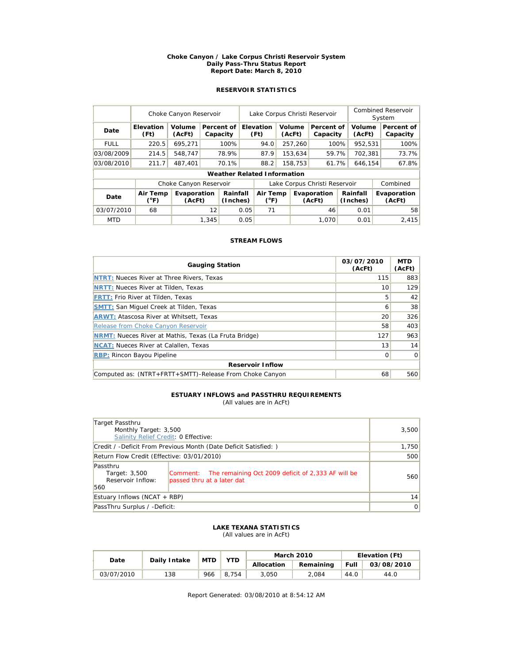#### **Choke Canyon / Lake Corpus Christi Reservoir System Daily Pass-Thru Status Report Report Date: March 8, 2010**

# **RESERVOIR STATISTICS**

|             | Choke Canyon Reservoir |                        | Lake Corpus Christi Reservoir |                                    |      |                           |  |                  | <b>Combined Reservoir</b><br>System |         |                  |  |                        |  |                       |
|-------------|------------------------|------------------------|-------------------------------|------------------------------------|------|---------------------------|--|------------------|-------------------------------------|---------|------------------|--|------------------------|--|-----------------------|
| Date        | Elevation<br>(Ft)      | Volume<br>(AcFt)       |                               | Percent of<br>Capacity             |      | Elevation<br>(Ft)         |  | Volume<br>(AcFt) | Percent of<br>Capacity              |         | Volume<br>(AcFt) |  | Percent of<br>Capacity |  |                       |
| <b>FULL</b> | 220.5                  | 695,271                |                               | 100%                               |      | 94.0                      |  | 257,260          | 100%                                |         | 952,531          |  | 100%                   |  |                       |
| 03/08/2009  | 214.5                  | 548.747                |                               | 78.9%                              |      | 87.9                      |  | 153.634          | 59.7%                               |         | 702.381          |  | 73.7%                  |  |                       |
| 03/08/2010  | 211.7                  | 487.401                |                               | 70.1%                              |      | 88.2                      |  | 158,753<br>61.7% |                                     | 646,154 |                  |  | 67.8%                  |  |                       |
|             |                        |                        |                               | <b>Weather Related Information</b> |      |                           |  |                  |                                     |         |                  |  |                        |  |                       |
|             |                        | Choke Canyon Reservoir |                               |                                    |      |                           |  |                  | Lake Corpus Christi Reservoir       |         |                  |  | Combined               |  |                       |
| Date        | Air Temp<br>(°F)       | Evaporation<br>(AcFt)  |                               | Rainfall<br>(Inches)               |      | Air Temp<br>$(^{\circ}F)$ |  |                  | Evaporation<br>(AcFt)               |         |                  |  | Rainfall<br>(Inches)   |  | Evaporation<br>(AcFt) |
| 03/07/2010  | 68                     |                        | 12                            |                                    | 0.05 | 71                        |  |                  | 46                                  |         | 0.01             |  | 58                     |  |                       |
| <b>MTD</b>  |                        |                        | 1.345                         |                                    | 0.05 |                           |  |                  | 1.070                               |         | 0.01             |  | 2.415                  |  |                       |

## **STREAM FLOWS**

| <b>Gauging Station</b>                                       | 03/07/2010<br>(AcFt) | <b>MTD</b><br>(AcFt) |  |  |  |  |  |  |
|--------------------------------------------------------------|----------------------|----------------------|--|--|--|--|--|--|
| NTRT: Nueces River at Three Rivers, Texas                    | 115                  | 883                  |  |  |  |  |  |  |
| <b>NRTT: Nueces River at Tilden, Texas</b>                   | 10                   | 129                  |  |  |  |  |  |  |
| <b>FRTT: Frio River at Tilden, Texas</b>                     | 5                    | 42                   |  |  |  |  |  |  |
| <b>SMTT: San Miquel Creek at Tilden, Texas</b>               | 6                    | 38                   |  |  |  |  |  |  |
| <b>ARWT: Atascosa River at Whitsett, Texas</b>               | 20                   | 326                  |  |  |  |  |  |  |
| Release from Choke Canyon Reservoir                          | 58                   | 403                  |  |  |  |  |  |  |
| <b>NRMT:</b> Nueces River at Mathis, Texas (La Fruta Bridge) | 127                  | 963                  |  |  |  |  |  |  |
| <b>NCAT:</b> Nueces River at Calallen, Texas                 | 13                   | 14                   |  |  |  |  |  |  |
| <b>RBP: Rincon Bayou Pipeline</b>                            | $\Omega$             | $\Omega$             |  |  |  |  |  |  |
| <b>Reservoir Inflow</b>                                      |                      |                      |  |  |  |  |  |  |
| Computed as: (NTRT+FRTT+SMTT)-Release From Choke Canyon      | 68                   | 560                  |  |  |  |  |  |  |

# **ESTUARY INFLOWS and PASSTHRU REQUIREMENTS**

(All values are in AcFt)

| Target Passthru<br>Monthly Target: 3,500<br>Salinity Relief Credit: 0 Effective: |                                                                                           | 3,500 |
|----------------------------------------------------------------------------------|-------------------------------------------------------------------------------------------|-------|
|                                                                                  | Credit / -Deficit From Previous Month (Date Deficit Satisfied: )                          | 1,750 |
| Return Flow Credit (Effective: 03/01/2010)                                       | 500                                                                                       |       |
| Passthru<br>Target: 3,500<br>Reservoir Inflow:<br>560                            | Comment: The remaining Oct 2009 deficit of 2,333 AF will be<br>passed thru at a later dat | 560   |
| Estuary Inflows (NCAT + RBP)                                                     | 14                                                                                        |       |
| PassThru Surplus / -Deficit:                                                     | 0                                                                                         |       |

### **LAKE TEXANA STATISTICS** (All values are in AcFt)

| Date       | Daily Intake | <b>MTD</b> | YTD   |            | <b>March 2010</b> | Elevation (Ft) |            |  |
|------------|--------------|------------|-------|------------|-------------------|----------------|------------|--|
|            |              |            |       | Allocation | Remaining         | Full           | 03/08/2010 |  |
| 03/07/2010 | 138          | 966        | 8.754 | 3.050      | 2.084             | 44.0           | 44.0       |  |

Report Generated: 03/08/2010 at 8:54:12 AM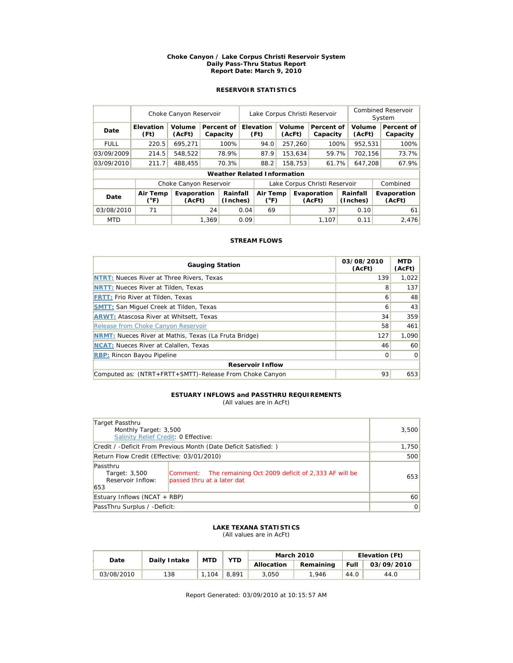#### **Choke Canyon / Lake Corpus Christi Reservoir System Daily Pass-Thru Status Report Report Date: March 9, 2010**

# **RESERVOIR STATISTICS**

|             | Choke Canyon Reservoir    |                        | Lake Corpus Christi Reservoir |                                    |      |                           |  |                  | <b>Combined Reservoir</b><br>System |         |                      |  |                        |
|-------------|---------------------------|------------------------|-------------------------------|------------------------------------|------|---------------------------|--|------------------|-------------------------------------|---------|----------------------|--|------------------------|
| Date        | <b>Elevation</b><br>(Ft)  | Volume<br>(AcFt)       |                               | Percent of<br>Capacity             |      | Elevation<br>(Ft)         |  | Volume<br>(AcFt) | Percent of<br>Capacity              |         | Volume<br>(AcFt)     |  | Percent of<br>Capacity |
| <b>FULL</b> | 220.5                     | 695,271                |                               | 100%                               |      | 94.0                      |  | 257,260          | 100%                                |         | 952,531              |  | 100%                   |
| 03/09/2009  | 214.5                     | 548.522                |                               | 78.9%                              |      | 87.9                      |  | 153.634          | 59.7%                               |         | 702.156              |  | 73.7%                  |
| 03/09/2010  | 211.7                     | 488,455                |                               | 70.3%                              |      | 88.2                      |  | 158,753<br>61.7% |                                     | 647,208 |                      |  | 67.9%                  |
|             |                           |                        |                               | <b>Weather Related Information</b> |      |                           |  |                  |                                     |         |                      |  |                        |
|             |                           | Choke Canyon Reservoir |                               |                                    |      |                           |  |                  | Lake Corpus Christi Reservoir       |         |                      |  | Combined               |
| Date        | Air Temp<br>$(^{\circ}F)$ | Evaporation<br>(AcFt)  |                               | Rainfall<br>(Inches)               |      | Air Temp<br>$(^{\circ}F)$ |  |                  | Evaporation<br>(AcFt)               |         | Rainfall<br>(Inches) |  | Evaporation<br>(AcFt)  |
| 03/08/2010  | 71                        |                        | 24                            |                                    | 0.04 | 69                        |  |                  | 37                                  |         | 0.10                 |  | 61                     |
| <b>MTD</b>  |                           |                        | 1.369                         |                                    | 0.09 |                           |  |                  | 1.107                               |         | 0.11                 |  | 2.476                  |

## **STREAM FLOWS**

| <b>Gauging Station</b>                                       | 03/08/2010<br>(AcFt) | <b>MTD</b><br>(AcFt) |  |  |  |  |  |  |
|--------------------------------------------------------------|----------------------|----------------------|--|--|--|--|--|--|
| NTRT: Nueces River at Three Rivers, Texas                    | 139                  | 1.022                |  |  |  |  |  |  |
| <b>NRTT: Nueces River at Tilden, Texas</b>                   | 8                    | 137                  |  |  |  |  |  |  |
| <b>FRTT: Frio River at Tilden, Texas</b>                     | 6                    | 48                   |  |  |  |  |  |  |
| <b>SMTT: San Miquel Creek at Tilden, Texas</b>               | 6                    | 43                   |  |  |  |  |  |  |
| <b>ARWT: Atascosa River at Whitsett, Texas</b>               | 34                   | 359                  |  |  |  |  |  |  |
| Release from Choke Canyon Reservoir                          | 58                   | 461                  |  |  |  |  |  |  |
| <b>NRMT:</b> Nueces River at Mathis, Texas (La Fruta Bridge) | 127                  | 1.090                |  |  |  |  |  |  |
| <b>NCAT:</b> Nueces River at Calallen, Texas                 | 46                   | 60                   |  |  |  |  |  |  |
| <b>RBP: Rincon Bayou Pipeline</b>                            | 0                    | $\Omega$             |  |  |  |  |  |  |
| <b>Reservoir Inflow</b>                                      |                      |                      |  |  |  |  |  |  |
| Computed as: (NTRT+FRTT+SMTT)-Release From Choke Canyon      | 93                   | 653                  |  |  |  |  |  |  |

# **ESTUARY INFLOWS and PASSTHRU REQUIREMENTS**

(All values are in AcFt)

| Target Passthru<br>Monthly Target: 3,500              | 3,500                                                                                     |       |
|-------------------------------------------------------|-------------------------------------------------------------------------------------------|-------|
| Salinity Relief Credit: 0 Effective:                  |                                                                                           |       |
|                                                       | Credit / -Deficit From Previous Month (Date Deficit Satisfied: )                          | 1,750 |
| Return Flow Credit (Effective: 03/01/2010)            | 500                                                                                       |       |
| Passthru<br>Target: 3,500<br>Reservoir Inflow:<br>653 | Comment: The remaining Oct 2009 deficit of 2,333 AF will be<br>passed thru at a later dat | 653   |
| Estuary Inflows (NCAT + RBP)                          | 60                                                                                        |       |
| PassThru Surplus / -Deficit:                          | $\overline{0}$                                                                            |       |

#### **LAKE TEXANA STATISTICS** (All values are in AcFt)

| Date       | Daily Intake | <b>MTD</b> | <b>YTD</b> |            | <b>March 2010</b> | Elevation (Ft) |            |  |
|------------|--------------|------------|------------|------------|-------------------|----------------|------------|--|
|            |              |            |            | Allocation | Remaining         | Full           | 03/09/2010 |  |
| 03/08/2010 | 138          | .104       | 8.891      | 3.050      | 1,946             | 44.0           | 44.0       |  |

Report Generated: 03/09/2010 at 10:15:57 AM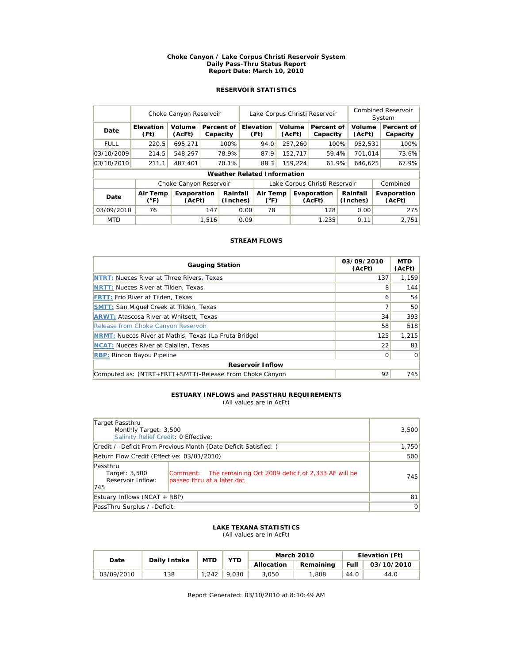#### **Choke Canyon / Lake Corpus Christi Reservoir System Daily Pass-Thru Status Report Report Date: March 10, 2010**

# **RESERVOIR STATISTICS**

|             | Choke Canyon Reservoir   |                        |       |                                    |      | Lake Corpus Christi Reservoir                                              |         |                  |                               |  |                  | Combined Reservoir<br>System |                        |  |
|-------------|--------------------------|------------------------|-------|------------------------------------|------|----------------------------------------------------------------------------|---------|------------------|-------------------------------|--|------------------|------------------------------|------------------------|--|
| Date        | <b>Elevation</b><br>(Ft) | Volume<br>(AcFt)       |       | Percent of<br>Capacity             |      | Elevation<br>(Ft)                                                          |         | Volume<br>(AcFt) | Percent of<br>Capacity        |  | Volume<br>(AcFt) |                              | Percent of<br>Capacity |  |
| <b>FULL</b> | 220.5                    | 695.271                |       | 100%                               |      | 94.0                                                                       |         | 257,260          | 100%                          |  | 952,531          |                              | 100%                   |  |
| 03/10/2009  | 214.5                    | 548.297                |       | 78.9%                              |      | 87.9                                                                       |         | 152,717          | 59.4%                         |  | 701.014          |                              | 73.6%                  |  |
| 03/10/2010  | 211.1                    | 487.401                |       | 70.1%                              |      | 88.3                                                                       | 159,224 |                  | 61.9%                         |  | 646,625          |                              | 67.9%                  |  |
|             |                          |                        |       | <b>Weather Related Information</b> |      |                                                                            |         |                  |                               |  |                  |                              |                        |  |
|             |                          | Choke Canyon Reservoir |       |                                    |      |                                                                            |         |                  | Lake Corpus Christi Reservoir |  |                  |                              | Combined               |  |
| Date        | Air Temp<br>(°F)         | Evaporation<br>(AcFt)  |       | Rainfall<br>(Inches)               |      | Rainfall<br>Air Temp<br>Evaporation<br>$(^{\circ}F)$<br>(Inches)<br>(AcFt) |         |                  | Evaporation<br>(AcFt)         |  |                  |                              |                        |  |
| 03/09/2010  | 76                       |                        | 147   |                                    | 0.00 | 78                                                                         |         |                  | 128                           |  | 0.00             |                              | 275                    |  |
| <b>MTD</b>  |                          |                        | 1,516 |                                    | 0.09 |                                                                            |         |                  | 1.235                         |  | 0.11             |                              | 2.751                  |  |

## **STREAM FLOWS**

| <b>Gauging Station</b>                                       | 03/09/2010<br>(AcFt) | <b>MTD</b><br>(AcFt) |  |  |  |  |  |  |  |
|--------------------------------------------------------------|----------------------|----------------------|--|--|--|--|--|--|--|
| NTRT: Nueces River at Three Rivers, Texas                    | 137                  | 1.159                |  |  |  |  |  |  |  |
| <b>NRTT: Nueces River at Tilden, Texas</b>                   | 8                    | 144                  |  |  |  |  |  |  |  |
| <b>FRTT: Frio River at Tilden, Texas</b>                     | 6                    | 54                   |  |  |  |  |  |  |  |
| <b>SMTT: San Miquel Creek at Tilden, Texas</b>               |                      | 50                   |  |  |  |  |  |  |  |
| <b>ARWT: Atascosa River at Whitsett, Texas</b>               | 34                   | 393                  |  |  |  |  |  |  |  |
| Release from Choke Canyon Reservoir                          | 58                   | 518                  |  |  |  |  |  |  |  |
| <b>NRMT:</b> Nueces River at Mathis, Texas (La Fruta Bridge) | 125                  | 1,215                |  |  |  |  |  |  |  |
| <b>NCAT:</b> Nueces River at Calallen, Texas                 | 22                   | 81                   |  |  |  |  |  |  |  |
| <b>RBP: Rincon Bayou Pipeline</b>                            | $\Omega$             | <sup>o</sup>         |  |  |  |  |  |  |  |
| <b>Reservoir Inflow</b>                                      |                      |                      |  |  |  |  |  |  |  |
| Computed as: (NTRT+FRTT+SMTT)-Release From Choke Canyon      | 92                   | 745                  |  |  |  |  |  |  |  |

#### **ESTUARY INFLOWS and PASSTHRU REQUIREMENTS** (All values are in AcFt)

| Target Passthru<br>Monthly Target: 3,500              |                                                                                           | 3,500 |
|-------------------------------------------------------|-------------------------------------------------------------------------------------------|-------|
| Salinity Relief Credit: 0 Effective:                  |                                                                                           |       |
|                                                       | Credit / -Deficit From Previous Month (Date Deficit Satisfied: )                          | 1,750 |
| Return Flow Credit (Effective: 03/01/2010)            | 500                                                                                       |       |
| Passthru<br>Target: 3,500<br>Reservoir Inflow:<br>745 | Comment: The remaining Oct 2009 deficit of 2,333 AF will be<br>passed thru at a later dat | 745   |
| Estuary Inflows (NCAT + RBP)                          | 81                                                                                        |       |
| PassThru Surplus / -Deficit:                          | 0                                                                                         |       |

#### **LAKE TEXANA STATISTICS** (All values are in AcFt)

| Date       | Daily Intake | <b>MTD</b> | <b>YTD</b> |            | <b>March 2010</b> | Elevation (Ft) |            |  |
|------------|--------------|------------|------------|------------|-------------------|----------------|------------|--|
|            |              |            |            | Allocation | Remaining         | Full           | 03/10/2010 |  |
| 03/09/2010 | 138          | 1.242      | 9.030      | 3.050      | 1.808             | 44.0           | 44.0       |  |

Report Generated: 03/10/2010 at 8:10:49 AM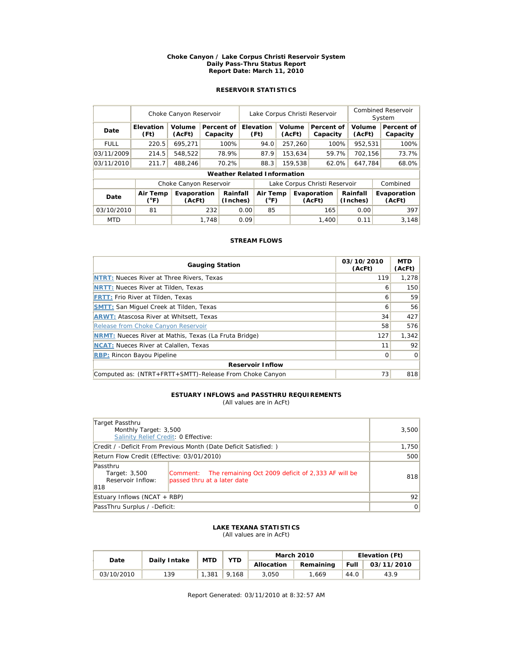#### **Choke Canyon / Lake Corpus Christi Reservoir System Daily Pass-Thru Status Report Report Date: March 11, 2010**

# **RESERVOIR STATISTICS**

|             | Choke Canyon Reservoir   |                        |       |                        | Lake Corpus Christi Reservoir |                                    |         |                  |                               |                      | <b>Combined Reservoir</b><br>System |  |                        |
|-------------|--------------------------|------------------------|-------|------------------------|-------------------------------|------------------------------------|---------|------------------|-------------------------------|----------------------|-------------------------------------|--|------------------------|
| Date        | <b>Elevation</b><br>(Ft) | Volume<br>(AcFt)       |       | Percent of<br>Capacity |                               | <b>Elevation</b><br>(Ft)           |         | Volume<br>(AcFt) | Percent of<br>Capacity        |                      | Volume<br>(AcFt)                    |  | Percent of<br>Capacity |
| <b>FULL</b> | 220.5                    | 695,271                |       | 100%                   |                               | 94.0                               |         | 257,260          | 100%                          |                      | 952,531                             |  | 100%                   |
| 03/11/2009  | 214.5                    | 548.522                |       | 78.9%                  |                               | 87.9                               |         | 153.634          | 59.7%                         |                      | 702.156                             |  | 73.7%                  |
| 03/11/2010  | 211.7                    | 488,246                |       | 70.2%                  |                               | 88.3                               | 159,538 |                  | 62.0%                         |                      | 647,784                             |  | 68.0%                  |
|             |                          |                        |       |                        |                               | <b>Weather Related Information</b> |         |                  |                               |                      |                                     |  |                        |
|             |                          | Choke Canyon Reservoir |       |                        |                               |                                    |         |                  | Lake Corpus Christi Reservoir |                      |                                     |  | Combined               |
| Date        | Air Temp<br>(°F)         | Evaporation<br>(AcFt)  |       | Rainfall<br>(Inches)   |                               | Air Temp<br>$(^{\circ}F)$          |         |                  | Evaporation<br>(AcFt)         | Rainfall<br>(Inches) |                                     |  | Evaporation<br>(AcFt)  |
| 03/10/2010  | 81                       |                        | 232   |                        | 0.00                          | 85                                 |         |                  | 165                           |                      | 0.00                                |  | 397                    |
| <b>MTD</b>  |                          |                        | 1.748 |                        | 0.09                          |                                    |         |                  | 1.400                         |                      | 0.11                                |  | 3.148                  |

## **STREAM FLOWS**

| <b>Gauging Station</b>                                       | 03/10/2010<br>(AcFt) | <b>MTD</b><br>(AcFt) |  |  |  |  |  |  |
|--------------------------------------------------------------|----------------------|----------------------|--|--|--|--|--|--|
| <b>NTRT: Nueces River at Three Rivers, Texas</b>             | 119                  | 1.278                |  |  |  |  |  |  |
| <b>NRTT: Nueces River at Tilden, Texas</b>                   | 6                    | 150                  |  |  |  |  |  |  |
| <b>FRTT: Frio River at Tilden, Texas</b>                     | ь                    | 59                   |  |  |  |  |  |  |
| <b>SMTT: San Miquel Creek at Tilden, Texas</b>               | 6                    | 56                   |  |  |  |  |  |  |
| <b>ARWT: Atascosa River at Whitsett, Texas</b>               | 34                   | 427                  |  |  |  |  |  |  |
| Release from Choke Canyon Reservoir                          | 58                   | 576                  |  |  |  |  |  |  |
| <b>NRMT:</b> Nueces River at Mathis, Texas (La Fruta Bridge) | 127                  | 1,342                |  |  |  |  |  |  |
| <b>NCAT:</b> Nueces River at Calallen, Texas                 | 11                   | 92                   |  |  |  |  |  |  |
| <b>RBP: Rincon Bayou Pipeline</b>                            | 0                    | $\Omega$             |  |  |  |  |  |  |
| <b>Reservoir Inflow</b>                                      |                      |                      |  |  |  |  |  |  |
| Computed as: (NTRT+FRTT+SMTT)-Release From Choke Canyon      | 73                   | 818                  |  |  |  |  |  |  |

# **ESTUARY INFLOWS and PASSTHRU REQUIREMENTS**

(All values are in AcFt)

| Target Passthru<br>Monthly Target: 3,500                         | 3,500                                                                                      |     |
|------------------------------------------------------------------|--------------------------------------------------------------------------------------------|-----|
| Salinity Relief Credit: 0 Effective:                             |                                                                                            |     |
| Credit / -Deficit From Previous Month (Date Deficit Satisfied: ) | 1,750                                                                                      |     |
| Return Flow Credit (Effective: 03/01/2010)                       | 500                                                                                        |     |
| Passthru<br>Target: 3,500<br>Reservoir Inflow:<br>818            | Comment: The remaining Oct 2009 deficit of 2,333 AF will be<br>passed thru at a later date | 818 |
| Estuary Inflows (NCAT + RBP)                                     | 92                                                                                         |     |
| PassThru Surplus / -Deficit:                                     | 0                                                                                          |     |

#### **LAKE TEXANA STATISTICS** (All values are in AcFt)

| Date       | Daily Intake | <b>MTD</b> | YTD   |            | <b>March 2010</b> | Elevation (Ft) |            |  |
|------------|--------------|------------|-------|------------|-------------------|----------------|------------|--|
|            |              |            |       | Allocation | Remaining         | Full           | 03/11/2010 |  |
| 03/10/2010 | 139          | .381       | 9.168 | 3.050      | 1.669             | 44.0           | 43.9       |  |

Report Generated: 03/11/2010 at 8:32:57 AM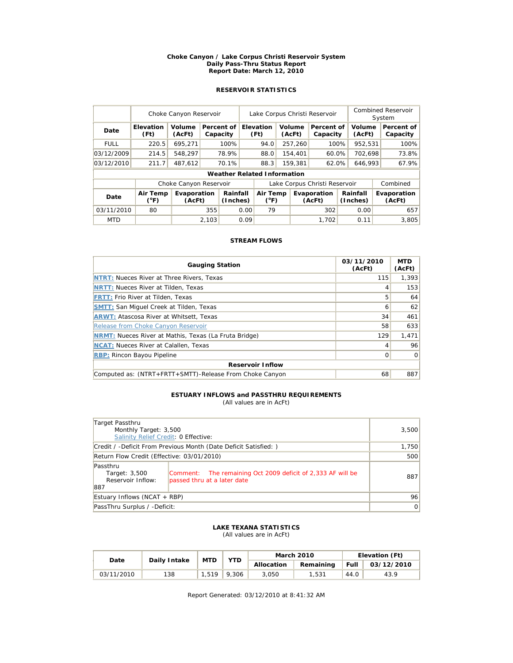#### **Choke Canyon / Lake Corpus Christi Reservoir System Daily Pass-Thru Status Report Report Date: March 12, 2010**

# **RESERVOIR STATISTICS**

|             | Choke Canyon Reservoir   |                        |       |                        |      | Lake Corpus Christi Reservoir      |                                                                            |                  |                               |                       | Combined Reservoir<br>System |  |                        |
|-------------|--------------------------|------------------------|-------|------------------------|------|------------------------------------|----------------------------------------------------------------------------|------------------|-------------------------------|-----------------------|------------------------------|--|------------------------|
| Date        | <b>Elevation</b><br>(Ft) | Volume<br>(AcFt)       |       | Percent of<br>Capacity |      | Elevation<br>(Ft)                  |                                                                            | Volume<br>(AcFt) | Percent of<br>Capacity        |                       | Volume<br>(AcFt)             |  | Percent of<br>Capacity |
| <b>FULL</b> | 220.5                    | 695,271                |       | 100%                   |      | 94.0                               |                                                                            | 257,260          | 100%                          |                       | 952,531                      |  | 100%                   |
| 03/12/2009  | 214.5                    | 548,297                |       | 78.9%                  |      | 88.0                               |                                                                            | 154,401          | 60.0%                         |                       | 702.698                      |  | 73.8%                  |
| 03/12/2010  | 211.7                    | 487,612                |       | 70.1%                  |      | 88.3                               |                                                                            | 159,381<br>62.0% |                               | 646,993               |                              |  | 67.9%                  |
|             |                          |                        |       |                        |      | <b>Weather Related Information</b> |                                                                            |                  |                               |                       |                              |  |                        |
|             |                          | Choke Canyon Reservoir |       |                        |      |                                    |                                                                            |                  | Lake Corpus Christi Reservoir |                       |                              |  | Combined               |
| Date        | Air Temp<br>(°F)         | Evaporation<br>(AcFt)  |       | Rainfall<br>(Inches)   |      |                                    | Rainfall<br>Air Temp<br>Evaporation<br>$(^{\circ}F)$<br>(Inches)<br>(AcFt) |                  |                               | Evaporation<br>(AcFt) |                              |  |                        |
| 03/11/2010  | 80                       |                        | 355   |                        | 0.00 | 79                                 |                                                                            |                  | 302                           |                       | 0.00                         |  | 657                    |
| <b>MTD</b>  |                          |                        | 2,103 |                        | 0.09 |                                    |                                                                            |                  | 1.702                         |                       | 0.11                         |  | 3.805                  |

## **STREAM FLOWS**

| <b>Gauging Station</b>                                       | 03/11/2010<br>(AcFt) | <b>MTD</b><br>(AcFt) |  |  |  |  |  |  |
|--------------------------------------------------------------|----------------------|----------------------|--|--|--|--|--|--|
| <b>NTRT: Nueces River at Three Rivers, Texas</b>             | 115                  | 1.393                |  |  |  |  |  |  |
| <b>NRTT: Nueces River at Tilden, Texas</b>                   | 4                    | 153                  |  |  |  |  |  |  |
| <b>FRTT: Frio River at Tilden, Texas</b>                     | 5                    | 64                   |  |  |  |  |  |  |
| <b>SMTT: San Miquel Creek at Tilden, Texas</b>               | 6                    | 62                   |  |  |  |  |  |  |
| <b>ARWT: Atascosa River at Whitsett, Texas</b>               | 34                   | 461                  |  |  |  |  |  |  |
| Release from Choke Canyon Reservoir                          | 58                   | 633                  |  |  |  |  |  |  |
| <b>NRMT:</b> Nueces River at Mathis, Texas (La Fruta Bridge) | 129                  | 1,471                |  |  |  |  |  |  |
| <b>NCAT:</b> Nueces River at Calallen, Texas                 | 4                    | 96                   |  |  |  |  |  |  |
| <b>RBP: Rincon Bayou Pipeline</b>                            | 0                    | $\Omega$             |  |  |  |  |  |  |
| <b>Reservoir Inflow</b>                                      |                      |                      |  |  |  |  |  |  |
| Computed as: (NTRT+FRTT+SMTT)-Release From Choke Canyon      | 68                   | 887                  |  |  |  |  |  |  |

# **ESTUARY INFLOWS and PASSTHRU REQUIREMENTS**

(All values are in AcFt)

| Target Passthru<br>Monthly Target: 3,500                         |                                                                                            | 3,500 |
|------------------------------------------------------------------|--------------------------------------------------------------------------------------------|-------|
| Salinity Relief Credit: 0 Effective:                             |                                                                                            |       |
| Credit / -Deficit From Previous Month (Date Deficit Satisfied: ) | 1,750                                                                                      |       |
| Return Flow Credit (Effective: 03/01/2010)                       | 500                                                                                        |       |
| Passthru<br>Target: 3,500<br>Reservoir Inflow:<br>887            | Comment: The remaining Oct 2009 deficit of 2,333 AF will be<br>passed thru at a later date | 887   |
| Estuary Inflows (NCAT + RBP)                                     | 96                                                                                         |       |
| PassThru Surplus / -Deficit:                                     | 0                                                                                          |       |

#### **LAKE TEXANA STATISTICS** (All values are in AcFt)

| Date       | Daily Intake | <b>MTD</b> | YTD   |            | <b>March 2010</b> | Elevation (Ft) |            |  |
|------------|--------------|------------|-------|------------|-------------------|----------------|------------|--|
|            |              |            |       | Allocation | Remaining         | Full           | 03/12/2010 |  |
| 03/11/2010 | 138          | 1.519      | 9.306 | 3.050      | 1.531             | 44.0           | 43.9       |  |

Report Generated: 03/12/2010 at 8:41:32 AM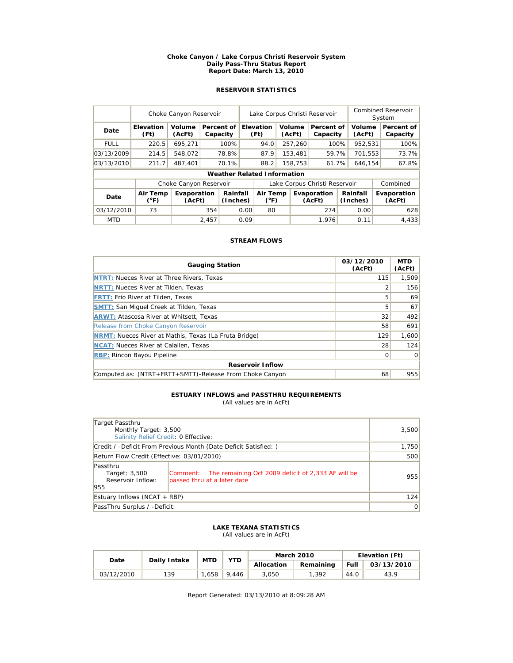#### **Choke Canyon / Lake Corpus Christi Reservoir System Daily Pass-Thru Status Report Report Date: March 13, 2010**

# **RESERVOIR STATISTICS**

|             | Choke Canyon Reservoir   |                        |       |                                    |                           | Lake Corpus Christi Reservoir |  |                       |                               |                      |                  | Combined Reservoir<br>System |                        |  |
|-------------|--------------------------|------------------------|-------|------------------------------------|---------------------------|-------------------------------|--|-----------------------|-------------------------------|----------------------|------------------|------------------------------|------------------------|--|
| Date        | <b>Elevation</b><br>(Ft) | Volume<br>(AcFt)       |       | Percent of<br>Capacity             |                           | Elevation<br>(Ft)             |  | Volume<br>(AcFt)      | Percent of<br>Capacity        |                      | Volume<br>(AcFt) |                              | Percent of<br>Capacity |  |
| <b>FULL</b> | 220.5                    | 695,271                |       | 100%                               |                           | 94.0                          |  | 257,260               | 100%                          |                      | 952,531          |                              | 100%                   |  |
| 03/13/2009  | 214.5                    | 548,072                |       | 78.8%                              |                           | 87.9                          |  | 153,481               | 59.7%                         |                      | 701,553          |                              | 73.7%                  |  |
| 03/13/2010  | 211.7                    | 487,401                |       | 70.1%                              |                           | 88.2                          |  | 158,753<br>61.7%      |                               | 646,154              |                  |                              | 67.8%                  |  |
|             |                          |                        |       | <b>Weather Related Information</b> |                           |                               |  |                       |                               |                      |                  |                              |                        |  |
|             |                          | Choke Canyon Reservoir |       |                                    |                           |                               |  |                       | Lake Corpus Christi Reservoir |                      |                  |                              | Combined               |  |
| Date        | Air Temp<br>(°F)         | Evaporation<br>(AcFt)  |       | Rainfall<br>(Inches)               | Air Temp<br>$(^{\circ}F)$ |                               |  | Evaporation<br>(AcFt) |                               | Rainfall<br>(Inches) |                  | Evaporation<br>(AcFt)        |                        |  |
| 03/12/2010  | 73                       |                        | 354   |                                    | 0.00                      | 80                            |  |                       | 274                           |                      | 0.00             |                              | 628                    |  |
| <b>MTD</b>  |                          |                        | 2,457 |                                    | 0.09                      |                               |  |                       | 1.976                         |                      | 0.11             |                              | 4.433                  |  |

## **STREAM FLOWS**

| <b>Gauging Station</b>                                       | 03/12/2010<br>(AcFt) | <b>MTD</b><br>(AcFt) |  |  |  |  |  |
|--------------------------------------------------------------|----------------------|----------------------|--|--|--|--|--|
| <b>NTRT: Nueces River at Three Rivers, Texas</b>             | 115                  | 1,509                |  |  |  |  |  |
| <b>NRTT: Nueces River at Tilden, Texas</b>                   |                      | 156                  |  |  |  |  |  |
| <b>FRTT: Frio River at Tilden, Texas</b>                     | 5                    | 69                   |  |  |  |  |  |
| <b>SMTT: San Miquel Creek at Tilden, Texas</b>               | 5                    | 67                   |  |  |  |  |  |
| <b>ARWT: Atascosa River at Whitsett, Texas</b>               | 32                   | 492                  |  |  |  |  |  |
| Release from Choke Canyon Reservoir                          | 58                   | 691                  |  |  |  |  |  |
| <b>NRMT:</b> Nueces River at Mathis, Texas (La Fruta Bridge) | 129                  | 1,600                |  |  |  |  |  |
| <b>NCAT:</b> Nueces River at Calallen, Texas                 | 28                   | 124                  |  |  |  |  |  |
| <b>RBP: Rincon Bayou Pipeline</b>                            | 0                    | $\Omega$             |  |  |  |  |  |
| <b>Reservoir Inflow</b>                                      |                      |                      |  |  |  |  |  |
| Computed as: (NTRT+FRTT+SMTT)-Release From Choke Canyon      | 68                   | 955                  |  |  |  |  |  |

# **ESTUARY INFLOWS and PASSTHRU REQUIREMENTS**

(All values are in AcFt)

| Target Passthru                                                                                                                                     |       |
|-----------------------------------------------------------------------------------------------------------------------------------------------------|-------|
| Monthly Target: 3,500                                                                                                                               | 3,500 |
| Salinity Relief Credit: 0 Effective:                                                                                                                |       |
| Credit / -Deficit From Previous Month (Date Deficit Satisfied: )                                                                                    | 1,750 |
| Return Flow Credit (Effective: 03/01/2010)                                                                                                          | 500   |
| Passthru<br>Comment: The remaining Oct 2009 deficit of 2,333 AF will be<br>Target: 3,500<br>Reservoir Inflow:<br>passed thru at a later date<br>955 | 955   |
| Estuary Inflows (NCAT + RBP)                                                                                                                        | 124   |
| PassThru Surplus / -Deficit:                                                                                                                        | 0     |

#### **LAKE TEXANA STATISTICS** (All values are in AcFt)

| Date       | Daily Intake | <b>MTD</b> | YTD   |            | <b>March 2010</b> | Elevation (Ft) |            |  |
|------------|--------------|------------|-------|------------|-------------------|----------------|------------|--|
|            |              |            |       | Allocation | Remaining         | Full           | 03/13/2010 |  |
| 03/12/2010 | 139          | 1,658.     | 9.446 | 3.050      | 1,392             | 44.0           | 43.9       |  |

Report Generated: 03/13/2010 at 8:09:28 AM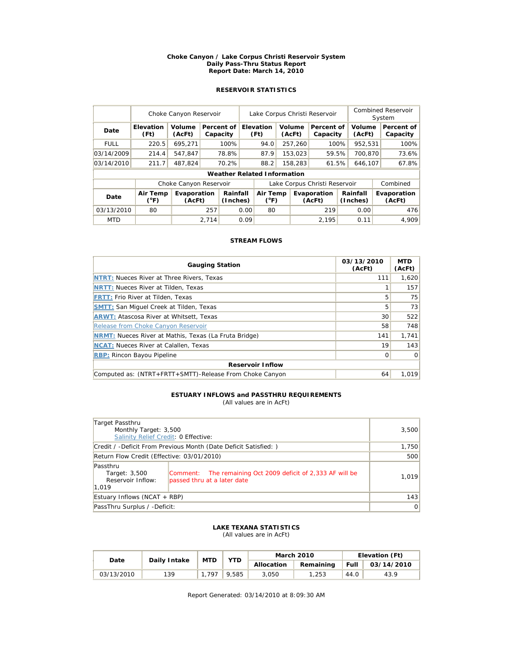#### **Choke Canyon / Lake Corpus Christi Reservoir System Daily Pass-Thru Status Report Report Date: March 14, 2010**

# **RESERVOIR STATISTICS**

|             | Choke Canyon Reservoir   |                        |       |                        |      | Lake Corpus Christi Reservoir         |  |                  |                                               |         |                  | Combined Reservoir<br>System |                        |  |
|-------------|--------------------------|------------------------|-------|------------------------|------|---------------------------------------|--|------------------|-----------------------------------------------|---------|------------------|------------------------------|------------------------|--|
| Date        | <b>Elevation</b><br>(Ft) | Volume<br>(AcFt)       |       | Percent of<br>Capacity |      | Elevation<br>Volume<br>(Ft)<br>(AcFt) |  |                  | Percent of<br>Capacity                        |         | Volume<br>(AcFt) |                              | Percent of<br>Capacity |  |
| <b>FULL</b> | 220.5                    | 695,271                |       | 100%                   |      | 94.0                                  |  | 257,260          | 100%                                          |         | 952,531          |                              | 100%                   |  |
| 03/14/2009  | 214.4                    | 547,847                |       | 78.8%                  |      | 87.9                                  |  | 153,023          | 59.5%                                         |         | 700.870          |                              | 73.6%                  |  |
| 03/14/2010  | 211.7                    | 487,824                |       | 70.2%                  |      | 88.2                                  |  | 158,283<br>61.5% |                                               | 646,107 |                  |                              | 67.8%                  |  |
|             |                          |                        |       |                        |      | <b>Weather Related Information</b>    |  |                  |                                               |         |                  |                              |                        |  |
|             |                          | Choke Canyon Reservoir |       |                        |      |                                       |  |                  | Lake Corpus Christi Reservoir                 |         |                  |                              | Combined               |  |
| Date        | Air Temp<br>(°F)         | Evaporation<br>(AcFt)  |       | Rainfall<br>(Inches)   |      | Air Temp<br>$(^{\circ}F)$             |  |                  | Rainfall<br>Evaporation<br>(Inches)<br>(AcFt) |         |                  |                              | Evaporation<br>(AcFt)  |  |
| 03/13/2010  | 80                       |                        | 257   |                        | 0.00 | 80                                    |  |                  | 219                                           |         | 0.00             |                              | 476                    |  |
| <b>MTD</b>  |                          |                        | 2,714 |                        | 0.09 |                                       |  |                  | 2.195                                         |         | 0.11             |                              | 4.909                  |  |

## **STREAM FLOWS**

| <b>Gauging Station</b>                                       | 03/13/2010<br>(AcFt) | <b>MTD</b><br>(AcFt) |  |  |  |  |  |
|--------------------------------------------------------------|----------------------|----------------------|--|--|--|--|--|
| NTRT: Nueces River at Three Rivers, Texas                    | 111                  | 1.620                |  |  |  |  |  |
| <b>NRTT: Nueces River at Tilden, Texas</b>                   |                      | 157                  |  |  |  |  |  |
| <b>FRTT: Frio River at Tilden, Texas</b>                     | 5                    | 75                   |  |  |  |  |  |
| <b>SMTT: San Miquel Creek at Tilden, Texas</b>               | 5                    | 73                   |  |  |  |  |  |
| <b>ARWT: Atascosa River at Whitsett, Texas</b>               | 30                   | 522                  |  |  |  |  |  |
| Release from Choke Canyon Reservoir                          | 58                   | 748                  |  |  |  |  |  |
| <b>NRMT:</b> Nueces River at Mathis, Texas (La Fruta Bridge) | 141                  | 1,741                |  |  |  |  |  |
| <b>NCAT:</b> Nueces River at Calallen, Texas                 | 19                   | 143                  |  |  |  |  |  |
| <b>RBP: Rincon Bayou Pipeline</b>                            | 0                    | $\Omega$             |  |  |  |  |  |
| <b>Reservoir Inflow</b>                                      |                      |                      |  |  |  |  |  |
| Computed as: (NTRT+FRTT+SMTT)-Release From Choke Canyon      | 64                   | 1.019                |  |  |  |  |  |

# **ESTUARY INFLOWS and PASSTHRU REQUIREMENTS**

(All values are in AcFt)

| Target Passthru                                                                                                                                       |       |
|-------------------------------------------------------------------------------------------------------------------------------------------------------|-------|
| Monthly Target: 3,500<br>Salinity Relief Credit: 0 Effective:                                                                                         | 3,500 |
|                                                                                                                                                       |       |
| Credit / -Deficit From Previous Month (Date Deficit Satisfied: )                                                                                      | 1,750 |
| Return Flow Credit (Effective: 03/01/2010)                                                                                                            | 500   |
| Passthru<br>Comment: The remaining Oct 2009 deficit of 2,333 AF will be<br>Target: 3,500<br>Reservoir Inflow:<br>passed thru at a later date<br>1,019 | 1,019 |
| Estuary Inflows (NCAT + RBP)                                                                                                                          | 143   |
| PassThru Surplus / -Deficit:                                                                                                                          | 0     |

#### **LAKE TEXANA STATISTICS** (All values are in AcFt)

| Date       | Daily Intake | <b>MTD</b> | <b>YTD</b> |            | <b>March 2010</b> | Elevation (Ft) |            |  |
|------------|--------------|------------|------------|------------|-------------------|----------------|------------|--|
|            |              |            |            | Allocation | Remaining         | Full           | 03/14/2010 |  |
| 03/13/2010 | 139          | .797       | 9.585      | 3.050      | 1,253             | 44.0           | 43.9       |  |

Report Generated: 03/14/2010 at 8:09:30 AM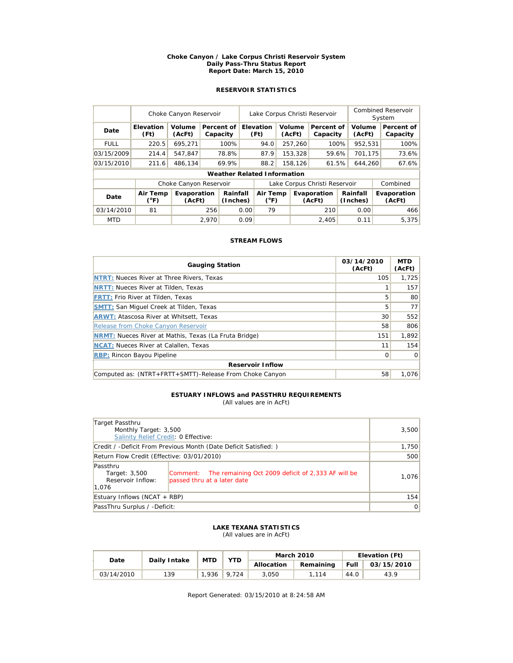#### **Choke Canyon / Lake Corpus Christi Reservoir System Daily Pass-Thru Status Report Report Date: March 15, 2010**

# **RESERVOIR STATISTICS**

|             | Choke Canyon Reservoir |                        |       |                        | Lake Corpus Christi Reservoir |                                              |                           |                        |                       |                  | <b>Combined Reservoir</b><br>System |                        |                       |  |
|-------------|------------------------|------------------------|-------|------------------------|-------------------------------|----------------------------------------------|---------------------------|------------------------|-----------------------|------------------|-------------------------------------|------------------------|-----------------------|--|
| Date        | Elevation<br>(Ft)      | Volume<br>(AcFt)       |       | Percent of<br>Capacity |                               | <b>Elevation</b><br>Volume<br>(Ft)<br>(AcFt) |                           | Percent of<br>Capacity |                       | Volume<br>(AcFt) |                                     | Percent of<br>Capacity |                       |  |
| <b>FULL</b> | 220.5                  | 695,271                |       | 100%                   |                               | 94.0                                         |                           | 257,260                | 100%                  |                  | 952,531                             |                        | 100%                  |  |
| 03/15/2009  | 214.4                  | 547.847                |       | 78.8%                  |                               | 87.9                                         |                           | 153.328                | 59.6%                 |                  | 701.175                             |                        | 73.6%                 |  |
| 03/15/2010  | 211.6                  | 486,134                |       | 69.9%                  |                               | 88.2<br>158,126                              |                           | 61.5%                  |                       | 644.260          |                                     | 67.6%                  |                       |  |
|             |                        |                        |       |                        |                               | <b>Weather Related Information</b>           |                           |                        |                       |                  |                                     |                        |                       |  |
|             |                        | Choke Canyon Reservoir |       |                        |                               | Lake Corpus Christi Reservoir                |                           |                        |                       |                  | Combined                            |                        |                       |  |
| Date        | Air Temp<br>(°F)       | Evaporation<br>(AcFt)  |       |                        | Rainfall<br>(Inches)          |                                              | Air Temp<br>$(^{\circ}F)$ |                        | Evaporation<br>(AcFt) |                  | Rainfall<br>(Inches)                |                        | Evaporation<br>(AcFt) |  |
| 03/14/2010  | 81                     |                        | 256   |                        | 0.00                          | 79                                           |                           |                        | 210                   |                  | 0.00                                |                        | 466                   |  |
| <b>MTD</b>  |                        |                        | 2.970 |                        | 0.09                          |                                              |                           |                        | 2,405                 |                  | 0.11                                |                        | 5.375                 |  |

## **STREAM FLOWS**

| <b>Gauging Station</b>                                       | 03/14/2010<br>(AcFt) | <b>MTD</b><br>(AcFt) |  |  |  |  |  |
|--------------------------------------------------------------|----------------------|----------------------|--|--|--|--|--|
| <b>NTRT: Nueces River at Three Rivers, Texas</b>             | 105                  | 1.725                |  |  |  |  |  |
| <b>NRTT: Nueces River at Tilden, Texas</b>                   |                      | 157                  |  |  |  |  |  |
| <b>FRTT: Frio River at Tilden, Texas</b>                     | 5                    | 80                   |  |  |  |  |  |
| <b>SMTT: San Miquel Creek at Tilden, Texas</b>               | 5                    | 77                   |  |  |  |  |  |
| <b>ARWT: Atascosa River at Whitsett, Texas</b>               | 30                   | 552                  |  |  |  |  |  |
| Release from Choke Canyon Reservoir                          | 58                   | 806                  |  |  |  |  |  |
| <b>NRMT:</b> Nueces River at Mathis, Texas (La Fruta Bridge) | 151                  | 1.892                |  |  |  |  |  |
| <b>NCAT:</b> Nueces River at Calallen, Texas                 | 11                   | 154                  |  |  |  |  |  |
| <b>RBP: Rincon Bayou Pipeline</b>                            | $\Omega$             | $\Omega$             |  |  |  |  |  |
| <b>Reservoir Inflow</b>                                      |                      |                      |  |  |  |  |  |
| Computed as: (NTRT+FRTT+SMTT)-Release From Choke Canyon      | 58                   | 1.076                |  |  |  |  |  |

# **ESTUARY INFLOWS and PASSTHRU REQUIREMENTS**

(All values are in AcFt)

| Target Passthru<br>Monthly Target: 3,500<br>Salinity Relief Credit: 0 Effective: | 3,500                                                                                      |       |
|----------------------------------------------------------------------------------|--------------------------------------------------------------------------------------------|-------|
|                                                                                  |                                                                                            |       |
| Credit / -Deficit From Previous Month (Date Deficit Satisfied: )                 | 1,750                                                                                      |       |
| Return Flow Credit (Effective: 03/01/2010)                                       | 500                                                                                        |       |
| Passthru<br>Target: 3,500<br>Reservoir Inflow:<br>1.076                          | Comment: The remaining Oct 2009 deficit of 2,333 AF will be<br>passed thru at a later date | 1,076 |
| Estuary Inflows (NCAT + RBP)                                                     | 154                                                                                        |       |
| PassThru Surplus / -Deficit:                                                     | 0                                                                                          |       |

#### **LAKE TEXANA STATISTICS** (All values are in AcFt)

| Date       | Daily Intake | <b>MTD</b> | <b>YTD</b> |            | <b>March 2010</b> | Elevation (Ft) |            |  |
|------------|--------------|------------|------------|------------|-------------------|----------------|------------|--|
|            |              |            |            | Allocation | Remaining         | Full           | 03/15/2010 |  |
| 03/14/2010 | 139          | 1,936      | 9.724      | 3.050      | 1.114             | 44.0           | 43.9       |  |

Report Generated: 03/15/2010 at 8:24:58 AM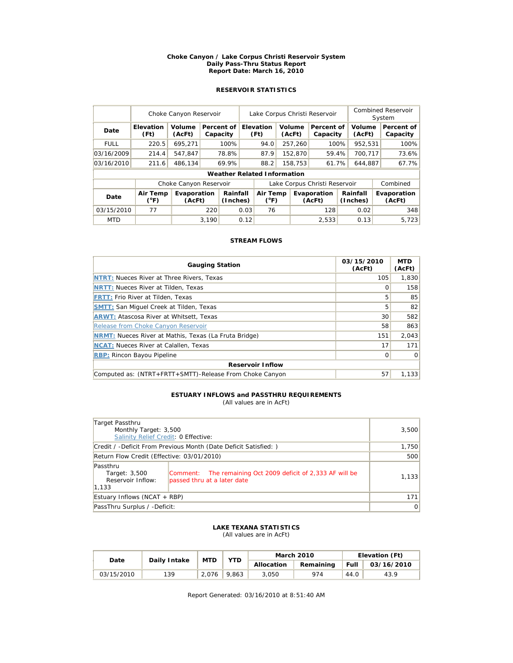#### **Choke Canyon / Lake Corpus Christi Reservoir System Daily Pass-Thru Status Report Report Date: March 16, 2010**

# **RESERVOIR STATISTICS**

|             | Choke Canyon Reservoir |                        |       |                        | Lake Corpus Christi Reservoir |                                              |                           |                        |                       |                  | <b>Combined Reservoir</b><br>System |                        |                       |
|-------------|------------------------|------------------------|-------|------------------------|-------------------------------|----------------------------------------------|---------------------------|------------------------|-----------------------|------------------|-------------------------------------|------------------------|-----------------------|
| Date        | Elevation<br>(Ft)      | Volume<br>(AcFt)       |       | Percent of<br>Capacity |                               | <b>Elevation</b><br>Volume<br>(Ft)<br>(AcFt) |                           | Percent of<br>Capacity |                       | Volume<br>(AcFt) |                                     | Percent of<br>Capacity |                       |
| <b>FULL</b> | 220.5                  | 695,271                |       | 100%                   |                               | 94.0                                         |                           | 257,260                | 100%                  |                  | 952,531                             |                        | 100%                  |
| 03/16/2009  | 214.4                  | 547.847                |       | 78.8%                  |                               | 87.9                                         |                           | 152,870                | 59.4%                 |                  | 700.717                             |                        | 73.6%                 |
| 03/16/2010  | 211.6                  | 486,134                |       | 69.9%                  |                               | 88.2<br>158,753                              |                           | 61.7%                  |                       | 644.887          |                                     | 67.7%                  |                       |
|             |                        |                        |       |                        |                               | <b>Weather Related Information</b>           |                           |                        |                       |                  |                                     |                        |                       |
|             |                        | Choke Canyon Reservoir |       |                        |                               | Lake Corpus Christi Reservoir                |                           |                        |                       |                  | Combined                            |                        |                       |
| Date        | Air Temp<br>(°F)       | Evaporation<br>(AcFt)  |       | Rainfall<br>(Inches)   |                               |                                              | Air Temp<br>$(^{\circ}F)$ |                        | Evaporation<br>(AcFt) |                  | Rainfall<br>(Inches)                |                        | Evaporation<br>(AcFt) |
| 03/15/2010  | 77                     |                        | 220   | 0.03                   |                               | 76                                           |                           |                        | 128                   |                  | 0.02                                |                        | 348                   |
| <b>MTD</b>  |                        |                        | 3.190 |                        | 0.12                          |                                              |                           |                        | 2.533                 |                  | 0.13                                |                        | 5.723                 |

## **STREAM FLOWS**

| <b>Gauging Station</b>                                       | 03/15/2010<br>(AcFt) | <b>MTD</b><br>(AcFt) |  |  |  |  |  |
|--------------------------------------------------------------|----------------------|----------------------|--|--|--|--|--|
| <b>NTRT: Nueces River at Three Rivers, Texas</b>             | 105                  | 1,830                |  |  |  |  |  |
| <b>NRTT: Nueces River at Tilden, Texas</b>                   | Ω                    | 158                  |  |  |  |  |  |
| <b>FRTT: Frio River at Tilden, Texas</b>                     | 5                    | 85                   |  |  |  |  |  |
| <b>SMTT: San Miquel Creek at Tilden, Texas</b>               | 5                    | 82                   |  |  |  |  |  |
| <b>ARWT: Atascosa River at Whitsett, Texas</b>               | 30                   | 582                  |  |  |  |  |  |
| Release from Choke Canyon Reservoir                          | 58                   | 863                  |  |  |  |  |  |
| <b>NRMT:</b> Nueces River at Mathis, Texas (La Fruta Bridge) | 151                  | 2.043                |  |  |  |  |  |
| <b>NCAT:</b> Nueces River at Calallen, Texas                 | 17                   | 171                  |  |  |  |  |  |
| <b>RBP:</b> Rincon Bayou Pipeline                            | $\Omega$             | $\Omega$             |  |  |  |  |  |
| <b>Reservoir Inflow</b>                                      |                      |                      |  |  |  |  |  |
| Computed as: (NTRT+FRTT+SMTT)-Release From Choke Canyon      | 57                   | 1.133                |  |  |  |  |  |

# **ESTUARY INFLOWS and PASSTHRU REQUIREMENTS**

(All values are in AcFt)

| Target Passthru<br>Monthly Target: 3,500<br>Salinity Relief Credit: 0 Effective:                                                                      | 3,500 |
|-------------------------------------------------------------------------------------------------------------------------------------------------------|-------|
| Credit / -Deficit From Previous Month (Date Deficit Satisfied:)                                                                                       | 1,750 |
| Return Flow Credit (Effective: 03/01/2010)                                                                                                            | 500   |
| Passthru<br>Comment: The remaining Oct 2009 deficit of 2,333 AF will be<br>Target: 3,500<br>Reservoir Inflow:<br>passed thru at a later date<br>1,133 | 1,133 |
| Estuary Inflows (NCAT $+$ RBP)                                                                                                                        | 171   |
| PassThru Surplus / -Deficit:                                                                                                                          | 0     |

#### **LAKE TEXANA STATISTICS** (All values are in AcFt)

| Date       | Daily Intake | <b>MTD</b> | YTD   |            | <b>March 2010</b> | Elevation (Ft) |            |  |
|------------|--------------|------------|-------|------------|-------------------|----------------|------------|--|
|            |              |            |       | Allocation | Remaining         | Full           | 03/16/2010 |  |
| 03/15/2010 | 139          | 2.076      | 9.863 | 3.050      | 974               | 44.0           | 43.9       |  |

Report Generated: 03/16/2010 at 8:51:40 AM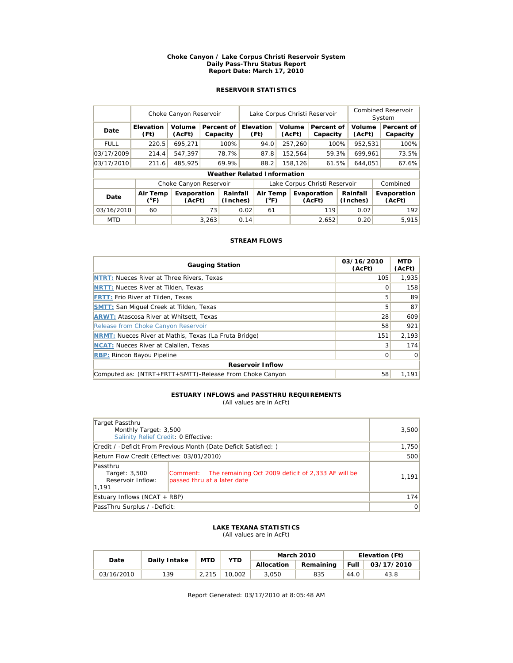#### **Choke Canyon / Lake Corpus Christi Reservoir System Daily Pass-Thru Status Report Report Date: March 17, 2010**

# **RESERVOIR STATISTICS**

|             | Choke Canyon Reservoir    |                        | Lake Corpus Christi Reservoir |                                    |                               |                                              |  |                        | <b>Combined Reservoir</b><br>System |                      |         |                        |       |
|-------------|---------------------------|------------------------|-------------------------------|------------------------------------|-------------------------------|----------------------------------------------|--|------------------------|-------------------------------------|----------------------|---------|------------------------|-------|
| Date        | <b>Elevation</b><br>(Ft)  | Volume<br>(AcFt)       |                               | Percent of<br>Capacity             |                               | <b>Elevation</b><br>Volume<br>(Ft)<br>(AcFt) |  | Percent of<br>Capacity |                                     | Volume<br>(AcFt)     |         | Percent of<br>Capacity |       |
| <b>FULL</b> | 220.5                     | 695,271                |                               | 100%                               |                               | 94.0                                         |  | 257,260                | 100%                                |                      | 952,531 |                        | 100%  |
| 03/17/2009  | 214.4                     | 547.397                |                               | 78.7%                              |                               | 87.8                                         |  | 152,564                | 59.3%                               |                      | 699.961 |                        | 73.5% |
| 03/17/2010  | 211.6                     | 485.925                |                               | 69.9%                              |                               | 88.2<br>158,126                              |  | 61.5%                  |                                     | 644.051              |         | 67.6%                  |       |
|             |                           |                        |                               | <b>Weather Related Information</b> |                               |                                              |  |                        |                                     |                      |         |                        |       |
|             |                           | Choke Canyon Reservoir |                               |                                    | Lake Corpus Christi Reservoir |                                              |  |                        |                                     | Combined             |         |                        |       |
| Date        | Air Temp<br>$(^{\circ}F)$ | Evaporation<br>(AcFt)  |                               | Rainfall<br>(Inches)               |                               | Air Temp<br>$(^{\circ}F)$                    |  | Evaporation<br>(AcFt)  |                                     | Rainfall<br>(Inches) |         | Evaporation<br>(AcFt)  |       |
| 03/16/2010  | 60                        |                        | 73                            | 0.02                               |                               | 61                                           |  |                        | 119                                 |                      | 0.07    |                        | 192   |
| <b>MTD</b>  |                           |                        | 3,263                         |                                    | 0.14                          |                                              |  |                        | 2,652                               |                      | 0.20    |                        | 5.915 |

## **STREAM FLOWS**

| <b>Gauging Station</b>                                       | 03/16/2010<br>(AcFt) | <b>MTD</b><br>(AcFt) |  |  |  |  |  |
|--------------------------------------------------------------|----------------------|----------------------|--|--|--|--|--|
| <b>NTRT: Nueces River at Three Rivers, Texas</b>             | 105                  | 1.935                |  |  |  |  |  |
| <b>NRTT: Nueces River at Tilden, Texas</b>                   | Ω                    | 158                  |  |  |  |  |  |
| <b>FRTT: Frio River at Tilden, Texas</b>                     | 5                    | 89                   |  |  |  |  |  |
| <b>SMTT:</b> San Miguel Creek at Tilden, Texas               | 5                    | 87                   |  |  |  |  |  |
| <b>ARWT: Atascosa River at Whitsett, Texas</b>               | 28                   | 609                  |  |  |  |  |  |
| Release from Choke Canyon Reservoir                          | 58                   | 921                  |  |  |  |  |  |
| <b>NRMT:</b> Nueces River at Mathis, Texas (La Fruta Bridge) | 151                  | 2.193                |  |  |  |  |  |
| <b>NCAT:</b> Nueces River at Calallen, Texas                 | 3                    | 174                  |  |  |  |  |  |
| <b>RBP:</b> Rincon Bayou Pipeline                            | 0                    | $\Omega$             |  |  |  |  |  |
| <b>Reservoir Inflow</b>                                      |                      |                      |  |  |  |  |  |
| Computed as: (NTRT+FRTT+SMTT)-Release From Choke Canyon      | 58                   | 1.191                |  |  |  |  |  |

# **ESTUARY INFLOWS and PASSTHRU REQUIREMENTS**

(All values are in AcFt)

| Target Passthru<br>Monthly Target: 3,500<br>Salinity Relief Credit: 0 Effective: | 3,500                                                                                      |       |
|----------------------------------------------------------------------------------|--------------------------------------------------------------------------------------------|-------|
|                                                                                  | Credit / -Deficit From Previous Month (Date Deficit Satisfied: )                           | 1,750 |
| Return Flow Credit (Effective: 03/01/2010)                                       | 500                                                                                        |       |
| Passthru<br>Target: 3,500<br>Reservoir Inflow:<br>1,191                          | Comment: The remaining Oct 2009 deficit of 2,333 AF will be<br>passed thru at a later date | 1,191 |
| Estuary Inflows (NCAT + RBP)                                                     | 174                                                                                        |       |
| PassThru Surplus / -Deficit:                                                     | 0                                                                                          |       |

#### **LAKE TEXANA STATISTICS** (All values are in AcFt)

| Date       | Daily Intake | <b>MTD</b> | <b>YTD</b> |            | <b>March 2010</b> | Elevation (Ft) |            |  |
|------------|--------------|------------|------------|------------|-------------------|----------------|------------|--|
|            |              |            |            | Allocation | Remaining         | Full           | 03/17/2010 |  |
| 03/16/2010 | 139          | 2.215      | 10.002     | 3.050      | 835               | 44.0           | 43.8       |  |

Report Generated: 03/17/2010 at 8:05:48 AM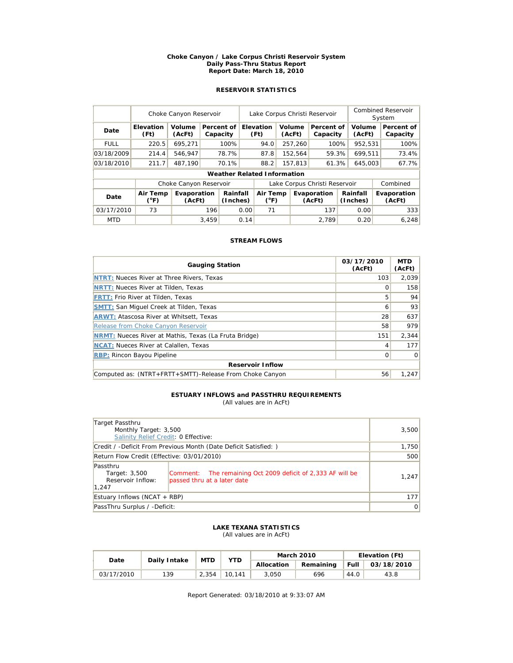#### **Choke Canyon / Lake Corpus Christi Reservoir System Daily Pass-Thru Status Report Report Date: March 18, 2010**

# **RESERVOIR STATISTICS**

|             | Choke Canyon Reservoir   |                        | Lake Corpus Christi Reservoir |                                    |      |                                                    |  |                        | Combined Reservoir<br>System |                  |          |                        |       |
|-------------|--------------------------|------------------------|-------------------------------|------------------------------------|------|----------------------------------------------------|--|------------------------|------------------------------|------------------|----------|------------------------|-------|
| Date        | <b>Elevation</b><br>(Ft) | Volume<br>(AcFt)       |                               | Percent of<br>Capacity             |      | Elevation<br>Volume<br>(Ft)<br>(AcFt)              |  | Percent of<br>Capacity |                              | Volume<br>(AcFt) |          | Percent of<br>Capacity |       |
| <b>FULL</b> | 220.5                    | 695,271                |                               | 100%                               |      | 94.0                                               |  | 257,260                | 100%                         |                  | 952,531  |                        | 100%  |
| 03/18/2009  | 214.4                    | 546.947                |                               | 78.7%                              |      | 87.8                                               |  | 152,564                | 59.3%                        |                  | 699.511  |                        | 73.4% |
| 03/18/2010  | 211.7                    | 487.190                |                               | 70.1%                              |      | 88.2                                               |  | 157,813                |                              | 61.3%            | 645,003  |                        | 67.7% |
|             |                          |                        |                               | <b>Weather Related Information</b> |      |                                                    |  |                        |                              |                  |          |                        |       |
|             |                          | Choke Canyon Reservoir |                               |                                    |      | Lake Corpus Christi Reservoir                      |  |                        |                              |                  | Combined |                        |       |
| Date        | Air Temp<br>(°F)         | Evaporation<br>(AcFt)  |                               | Rainfall<br>(Inches)               |      | Air Temp<br>Evaporation<br>$(^{\circ}F)$<br>(AcFt) |  |                        | Rainfall<br>(Inches)         |                  |          | Evaporation<br>(AcFt)  |       |
| 03/17/2010  | 73                       |                        | 196                           | 0.00                               |      | 71                                                 |  |                        | 137                          |                  | 0.00     |                        | 333   |
| <b>MTD</b>  |                          |                        | 3,459                         |                                    | 0.14 |                                                    |  |                        | 2.789                        |                  | 0.20     |                        | 6,248 |

## **STREAM FLOWS**

| <b>Gauging Station</b>                                       | 03/17/2010<br>(AcFt) | <b>MTD</b><br>(AcFt) |  |  |  |  |  |
|--------------------------------------------------------------|----------------------|----------------------|--|--|--|--|--|
| <b>NTRT: Nueces River at Three Rivers, Texas</b>             | 103                  | 2.039                |  |  |  |  |  |
| <b>NRTT: Nueces River at Tilden, Texas</b>                   | Ω                    | 158                  |  |  |  |  |  |
| <b>FRTT: Frio River at Tilden, Texas</b>                     | 5                    | 94                   |  |  |  |  |  |
| <b>SMTT:</b> San Miguel Creek at Tilden, Texas               | 6                    | 93                   |  |  |  |  |  |
| <b>ARWT: Atascosa River at Whitsett, Texas</b>               | 28                   | 637                  |  |  |  |  |  |
| Release from Choke Canyon Reservoir                          | 58                   | 979                  |  |  |  |  |  |
| <b>NRMT:</b> Nueces River at Mathis, Texas (La Fruta Bridge) | 151                  | 2,344                |  |  |  |  |  |
| <b>NCAT:</b> Nueces River at Calallen, Texas                 | 4                    | 177                  |  |  |  |  |  |
| <b>RBP:</b> Rincon Bayou Pipeline                            | 0                    | $\Omega$             |  |  |  |  |  |
| <b>Reservoir Inflow</b>                                      |                      |                      |  |  |  |  |  |
| Computed as: (NTRT+FRTT+SMTT)-Release From Choke Canyon      | 56                   | 1.247                |  |  |  |  |  |

# **ESTUARY INFLOWS and PASSTHRU REQUIREMENTS**

(All values are in AcFt)

| Target Passthru<br>Monthly Target: 3,500<br>Salinity Relief Credit: 0 Effective:                                                                      | 3,500 |
|-------------------------------------------------------------------------------------------------------------------------------------------------------|-------|
| Credit / -Deficit From Previous Month (Date Deficit Satisfied: )                                                                                      | 1,750 |
| Return Flow Credit (Effective: 03/01/2010)                                                                                                            | 500   |
| Passthru<br>Comment: The remaining Oct 2009 deficit of 2,333 AF will be<br>Target: 3,500<br>Reservoir Inflow:<br>passed thru at a later date<br>1.247 | 1,247 |
| Estuary Inflows (NCAT + RBP)                                                                                                                          | 177   |
| PassThru Surplus / -Deficit:                                                                                                                          | 0     |

### **LAKE TEXANA STATISTICS** (All values are in AcFt)

| Date       | Daily Intake | <b>MTD</b> | <b>YTD</b> |            | <b>March 2010</b> | Elevation (Ft) |            |  |
|------------|--------------|------------|------------|------------|-------------------|----------------|------------|--|
|            |              |            |            | Allocation | Remaining         | <b>Full</b>    | 03/18/2010 |  |
| 03/17/2010 | 139          | 2.354      | 10.141     | 3.050      | 696               | 44.0           | 43.8       |  |

Report Generated: 03/18/2010 at 9:33:07 AM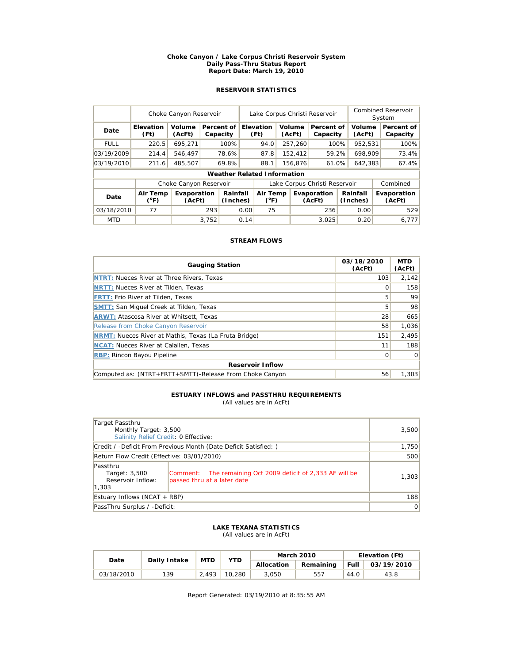#### **Choke Canyon / Lake Corpus Christi Reservoir System Daily Pass-Thru Status Report Report Date: March 19, 2010**

# **RESERVOIR STATISTICS**

|             | Choke Canyon Reservoir    |                        |       |                                    | Lake Corpus Christi Reservoir |                           |         |                  |                               |                      | <b>Combined Reservoir</b><br>System |  |                        |
|-------------|---------------------------|------------------------|-------|------------------------------------|-------------------------------|---------------------------|---------|------------------|-------------------------------|----------------------|-------------------------------------|--|------------------------|
| Date        | <b>Elevation</b><br>(Ft)  | Volume<br>(AcFt)       |       | Percent of<br>Capacity             |                               | <b>Elevation</b><br>(Ft)  |         | Volume<br>(AcFt) | Percent of<br>Capacity        |                      | Volume<br>(AcFt)                    |  | Percent of<br>Capacity |
| <b>FULL</b> | 220.5                     | 695,271                |       | 100%                               |                               | 94.0                      |         | 257,260          | 100%                          |                      | 952,531                             |  | 100%                   |
| 03/19/2009  | 214.4                     | 546.497                |       | 78.6%                              |                               | 87.8                      |         | 152,412          | 59.2%                         |                      | 698,909                             |  | 73.4%                  |
| 03/19/2010  | 211.6                     | 485.507                |       | 69.8%                              |                               | 88.1                      | 156,876 |                  | 61.0%                         |                      | 642,383                             |  | 67.4%                  |
|             |                           |                        |       | <b>Weather Related Information</b> |                               |                           |         |                  |                               |                      |                                     |  |                        |
|             |                           | Choke Canyon Reservoir |       |                                    |                               |                           |         |                  | Lake Corpus Christi Reservoir |                      |                                     |  | Combined               |
| Date        | Air Temp<br>$(^{\circ}F)$ | Evaporation<br>(AcFt)  |       | Rainfall<br>(Inches)               |                               | Air Temp<br>$(^{\circ}F)$ |         |                  | Evaporation<br>(AcFt)         | Rainfall<br>(Inches) |                                     |  | Evaporation<br>(AcFt)  |
| 03/18/2010  | 77                        |                        | 293   | 0.00                               |                               | 75                        |         |                  | 236                           |                      | 0.00                                |  | 529                    |
| <b>MTD</b>  |                           |                        | 3.752 |                                    | 0.14                          |                           |         |                  | 3.025                         |                      | 0.20                                |  | 6.777                  |

## **STREAM FLOWS**

| <b>Gauging Station</b>                                       | 03/18/2010<br>(AcFt) | <b>MTD</b><br>(AcFt) |  |  |  |  |  |  |
|--------------------------------------------------------------|----------------------|----------------------|--|--|--|--|--|--|
| <b>NTRT: Nueces River at Three Rivers, Texas</b>             | 103                  | 2.142                |  |  |  |  |  |  |
| <b>NRTT: Nueces River at Tilden, Texas</b>                   | Ω                    | 158                  |  |  |  |  |  |  |
| <b>FRTT: Frio River at Tilden, Texas</b>                     | 5                    | 99                   |  |  |  |  |  |  |
| <b>SMTT: San Miquel Creek at Tilden, Texas</b>               | 5                    | 98                   |  |  |  |  |  |  |
| <b>ARWT: Atascosa River at Whitsett, Texas</b>               | 28                   | 665                  |  |  |  |  |  |  |
| Release from Choke Canyon Reservoir                          | 58                   | 1,036                |  |  |  |  |  |  |
| <b>NRMT:</b> Nueces River at Mathis, Texas (La Fruta Bridge) | 151                  | 2.495                |  |  |  |  |  |  |
| <b>NCAT:</b> Nueces River at Calallen, Texas                 | 11                   | 188                  |  |  |  |  |  |  |
| <b>RBP: Rincon Bayou Pipeline</b>                            | $\Omega$             | $\Omega$             |  |  |  |  |  |  |
| <b>Reservoir Inflow</b>                                      |                      |                      |  |  |  |  |  |  |
| Computed as: (NTRT+FRTT+SMTT)-Release From Choke Canyon      | 56                   | 1.303                |  |  |  |  |  |  |

#### **ESTUARY INFLOWS and PASSTHRU REQUIREMENTS** (All values are in AcFt)

| Target Passthru<br>Monthly Target: 3,500<br>Salinity Relief Credit: 0 Effective: |                                                                                            | 3,500 |
|----------------------------------------------------------------------------------|--------------------------------------------------------------------------------------------|-------|
|                                                                                  | Credit / -Deficit From Previous Month (Date Deficit Satisfied: )                           | 1,750 |
| Return Flow Credit (Effective: 03/01/2010)                                       | 500                                                                                        |       |
| Passthru                                                                         |                                                                                            |       |
| Target: 3,500<br>Reservoir Inflow:                                               | Comment: The remaining Oct 2009 deficit of 2,333 AF will be<br>passed thru at a later date | 1,303 |
| 1,303                                                                            |                                                                                            |       |
| Estuary Inflows (NCAT + RBP)                                                     | 188                                                                                        |       |
| PassThru Surplus / -Deficit:                                                     | 0                                                                                          |       |

#### **LAKE TEXANA STATISTICS** (All values are in AcFt)

| Date       | Daily Intake | <b>MTD</b> | <b>YTD</b> |            | <b>March 2010</b> | Elevation (Ft) |            |  |
|------------|--------------|------------|------------|------------|-------------------|----------------|------------|--|
|            |              |            |            | Allocation | Remaining         | <b>Full</b>    | 03/19/2010 |  |
| 03/18/2010 | 139          | 2.493      | 10.280     | 3.050      | 557               | 44.0           | 43.8       |  |

Report Generated: 03/19/2010 at 8:35:55 AM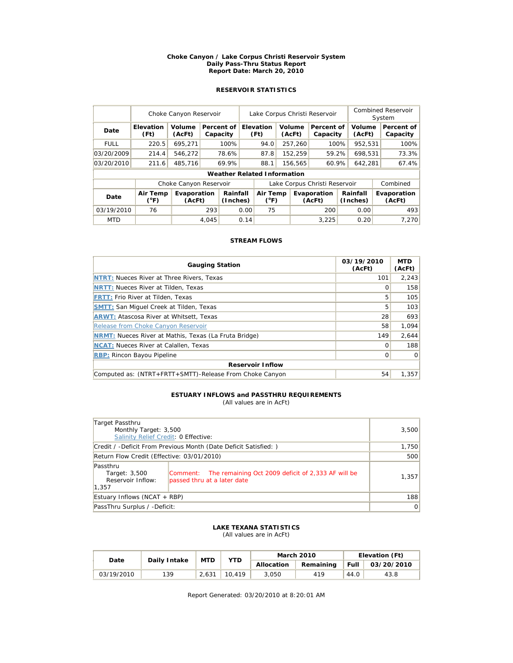#### **Choke Canyon / Lake Corpus Christi Reservoir System Daily Pass-Thru Status Report Report Date: March 20, 2010**

# **RESERVOIR STATISTICS**

|             | Choke Canyon Reservoir   |                        |       |                                    | Lake Corpus Christi Reservoir |                           |  |                  |                               |                      | Combined Reservoir<br>System |  |                        |  |                       |
|-------------|--------------------------|------------------------|-------|------------------------------------|-------------------------------|---------------------------|--|------------------|-------------------------------|----------------------|------------------------------|--|------------------------|--|-----------------------|
| Date        | <b>Elevation</b><br>(Ft) | Volume<br>(AcFt)       |       | Percent of<br>Capacity             |                               | Elevation<br>(Ft)         |  | Volume<br>(AcFt) | Percent of<br>Capacity        |                      | Volume<br>(AcFt)             |  | Percent of<br>Capacity |  |                       |
| <b>FULL</b> | 220.5                    | 695,271                |       | 100%                               |                               | 94.0                      |  | 257,260          | 100%                          |                      | 952,531                      |  | 100%                   |  |                       |
| 03/20/2009  | 214.4                    | 546,272                |       | 78.6%                              |                               | 87.8                      |  | 152,259          | 59.2%                         |                      | 698,531                      |  | 73.3%                  |  |                       |
| 03/20/2010  | 211.6                    | 485,716                |       | 69.9%                              |                               | 88.1                      |  | 156,565          | 60.9%                         |                      | 642,281                      |  | 67.4%                  |  |                       |
|             |                          |                        |       | <b>Weather Related Information</b> |                               |                           |  |                  |                               |                      |                              |  |                        |  |                       |
|             |                          | Choke Canyon Reservoir |       |                                    |                               |                           |  |                  | Lake Corpus Christi Reservoir |                      |                              |  | Combined               |  |                       |
| Date        | Air Temp<br>(°F)         | Evaporation<br>(AcFt)  |       | Rainfall<br>(Inches)               |                               | Air Temp<br>$(^{\circ}F)$ |  |                  | Evaporation<br>(AcFt)         | Rainfall<br>(Inches) |                              |  |                        |  | Evaporation<br>(AcFt) |
| 03/19/2010  | 76                       |                        | 293   |                                    | 0.00                          | 75                        |  |                  | 200                           |                      | 0.00                         |  | 493                    |  |                       |
| <b>MTD</b>  |                          |                        | 4.045 |                                    | 0.14                          |                           |  |                  | 3.225                         |                      | 0.20                         |  | 7.270                  |  |                       |

## **STREAM FLOWS**

| <b>Gauging Station</b>                                       | 03/19/2010<br>(AcFt) | <b>MTD</b><br>(AcFt) |  |  |  |  |  |  |
|--------------------------------------------------------------|----------------------|----------------------|--|--|--|--|--|--|
| <b>NTRT: Nueces River at Three Rivers, Texas</b>             | 101                  | 2.243                |  |  |  |  |  |  |
| <b>NRTT: Nueces River at Tilden, Texas</b>                   |                      | 158                  |  |  |  |  |  |  |
| <b>FRTT: Frio River at Tilden, Texas</b>                     | 5                    | 105                  |  |  |  |  |  |  |
| <b>SMTT: San Miquel Creek at Tilden, Texas</b>               | 5                    | 103                  |  |  |  |  |  |  |
| <b>ARWT: Atascosa River at Whitsett, Texas</b>               | 28                   | 693                  |  |  |  |  |  |  |
| Release from Choke Canyon Reservoir                          | 58                   | 1,094                |  |  |  |  |  |  |
| <b>NRMT:</b> Nueces River at Mathis, Texas (La Fruta Bridge) | 149                  | 2.644                |  |  |  |  |  |  |
| <b>NCAT:</b> Nueces River at Calallen, Texas                 | 0                    | 188                  |  |  |  |  |  |  |
| <b>RBP:</b> Rincon Bayou Pipeline                            | 0                    | 0                    |  |  |  |  |  |  |
| <b>Reservoir Inflow</b>                                      |                      |                      |  |  |  |  |  |  |
| Computed as: (NTRT+FRTT+SMTT)-Release From Choke Canyon      | 54                   | 1.357                |  |  |  |  |  |  |

# **ESTUARY INFLOWS and PASSTHRU REQUIREMENTS**

(All values are in AcFt)

| Target Passthru<br>Monthly Target: 3,500<br>Salinity Relief Credit: 0 Effective: |                                                                                                | 3,500 |
|----------------------------------------------------------------------------------|------------------------------------------------------------------------------------------------|-------|
|                                                                                  | Credit / -Deficit From Previous Month (Date Deficit Satisfied:)                                | 1,750 |
| Return Flow Credit (Effective: 03/01/2010)                                       | 500                                                                                            |       |
| Passthru<br>Target: 3,500<br>Reservoir Inflow:<br>1.357                          | The remaining Oct 2009 deficit of 2,333 AF will be<br> Comment:<br>passed thru at a later date | 1,357 |
| Estuary Inflows (NCAT + RBP)                                                     | 188                                                                                            |       |
| PassThru Surplus / -Deficit:                                                     | $\overline{0}$                                                                                 |       |

#### **LAKE TEXANA STATISTICS** (All values are in AcFt)

| Date       | Daily Intake | <b>MTD</b> | <b>YTD</b> |            | <b>March 2010</b> | Elevation (Ft) |            |  |
|------------|--------------|------------|------------|------------|-------------------|----------------|------------|--|
|            |              |            |            | Allocation | Remaining         | Full           | 03/20/2010 |  |
| 03/19/2010 | 139          | 2.631      | 10.419     | 3.050      | 419               | 44.0           | 43.8       |  |

Report Generated: 03/20/2010 at 8:20:01 AM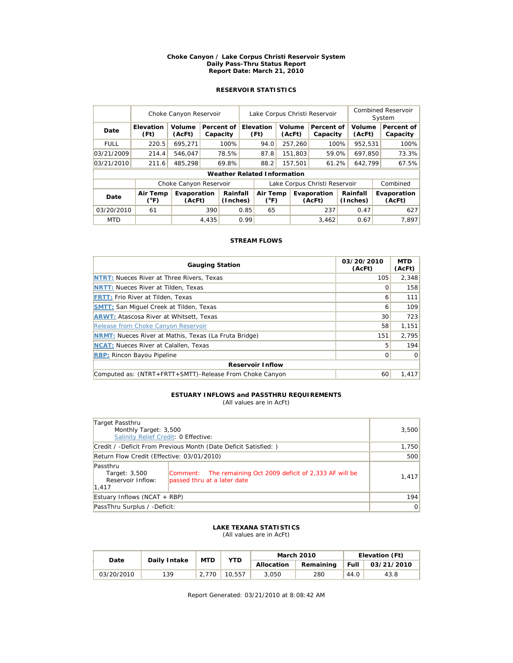#### **Choke Canyon / Lake Corpus Christi Reservoir System Daily Pass-Thru Status Report Report Date: March 21, 2010**

# **RESERVOIR STATISTICS**

|             | Choke Canyon Reservoir   |                        |       |                        | Lake Corpus Christi Reservoir |                                    |  |                  |                               |         | <b>Combined Reservoir</b><br>System |  |                        |  |                       |
|-------------|--------------------------|------------------------|-------|------------------------|-------------------------------|------------------------------------|--|------------------|-------------------------------|---------|-------------------------------------|--|------------------------|--|-----------------------|
| Date        | <b>Elevation</b><br>(Ft) | Volume<br>(AcFt)       |       | Percent of<br>Capacity |                               | <b>Elevation</b><br>(Ft)           |  | Volume<br>(AcFt) | Percent of<br>Capacity        |         | Volume<br>(AcFt)                    |  | Percent of<br>Capacity |  |                       |
| <b>FULL</b> | 220.5                    | 695,271                |       | 100%                   |                               | 94.0                               |  | 257,260          | 100%                          |         | 952,531                             |  | 100%                   |  |                       |
| 03/21/2009  | 214.4                    | 546.047                |       | 78.5%                  |                               | 87.8                               |  | 151,803          | 59.0%                         |         | 697.850                             |  | 73.3%                  |  |                       |
| 03/21/2010  | 211.6                    | 485.298                |       | 69.8%                  |                               | 88.2                               |  | 61.2%<br>157,501 |                               | 642,799 |                                     |  | 67.5%                  |  |                       |
|             |                          |                        |       |                        |                               | <b>Weather Related Information</b> |  |                  |                               |         |                                     |  |                        |  |                       |
|             |                          | Choke Canyon Reservoir |       |                        |                               |                                    |  |                  | Lake Corpus Christi Reservoir |         |                                     |  | Combined               |  |                       |
| Date        | Air Temp<br>(°F)         | Evaporation<br>(AcFt)  |       | Rainfall<br>(Inches)   |                               | Air Temp<br>$(^{\circ}F)$          |  |                  | (AcFt)                        |         | Evaporation                         |  | Rainfall<br>(Inches)   |  | Evaporation<br>(AcFt) |
| 03/20/2010  | 61                       |                        | 390   | 0.85                   |                               | 65                                 |  |                  | 237                           |         | 0.47                                |  | 627                    |  |                       |
| <b>MTD</b>  |                          |                        | 4,435 |                        | 0.99                          |                                    |  |                  | 3,462                         |         | 0.67                                |  | 7.897                  |  |                       |

## **STREAM FLOWS**

| <b>Gauging Station</b>                                       | 03/20/2010<br>(AcFt) | <b>MTD</b><br>(AcFt) |  |  |  |  |  |  |
|--------------------------------------------------------------|----------------------|----------------------|--|--|--|--|--|--|
| <b>NTRT: Nueces River at Three Rivers, Texas</b>             | 105                  | 2.348                |  |  |  |  |  |  |
| <b>NRTT: Nueces River at Tilden, Texas</b>                   | Ω                    | 158                  |  |  |  |  |  |  |
| <b>FRTT: Frio River at Tilden, Texas</b>                     | 6                    | 111                  |  |  |  |  |  |  |
| <b>SMTT: San Miquel Creek at Tilden, Texas</b>               | 6                    | 109                  |  |  |  |  |  |  |
| <b>ARWT: Atascosa River at Whitsett, Texas</b>               | 30                   | 723                  |  |  |  |  |  |  |
| Release from Choke Canyon Reservoir                          | 58                   | 1,151                |  |  |  |  |  |  |
| <b>NRMT:</b> Nueces River at Mathis, Texas (La Fruta Bridge) | 151                  | 2.795                |  |  |  |  |  |  |
| <b>NCAT:</b> Nueces River at Calallen, Texas                 | 5                    | 194                  |  |  |  |  |  |  |
| <b>RBP:</b> Rincon Bayou Pipeline                            | 0                    | $\Omega$             |  |  |  |  |  |  |
| <b>Reservoir Inflow</b>                                      |                      |                      |  |  |  |  |  |  |
| Computed as: (NTRT+FRTT+SMTT)-Release From Choke Canyon      | 60                   | 1.417                |  |  |  |  |  |  |

# **ESTUARY INFLOWS and PASSTHRU REQUIREMENTS**

(All values are in AcFt)

| Target Passthru<br>Monthly Target: 3,500<br>Salinity Relief Credit: 0 Effective: |                                                                                            | 3,500 |
|----------------------------------------------------------------------------------|--------------------------------------------------------------------------------------------|-------|
|                                                                                  | Credit / -Deficit From Previous Month (Date Deficit Satisfied: )                           | 1,750 |
| Return Flow Credit (Effective: 03/01/2010)                                       | 500                                                                                        |       |
| Passthru<br>Target: 3,500<br>Reservoir Inflow:<br>1,417                          | Comment: The remaining Oct 2009 deficit of 2,333 AF will be<br>passed thru at a later date | 1,417 |
| Estuary Inflows (NCAT + RBP)                                                     | 194                                                                                        |       |
| PassThru Surplus / -Deficit:                                                     | $\overline{0}$                                                                             |       |

### **LAKE TEXANA STATISTICS** (All values are in AcFt)

| Date       | Daily Intake | <b>MTD</b> | <b>YTD</b> |            | <b>March 2010</b> | Elevation (Ft) |            |  |
|------------|--------------|------------|------------|------------|-------------------|----------------|------------|--|
|            |              |            |            | Allocation | Remaining         | Full           | 03/21/2010 |  |
| 03/20/2010 | 139          | 2.770      | 10.557     | 3.050      | 280               | 44.0           | 43.8       |  |

Report Generated: 03/21/2010 at 8:08:42 AM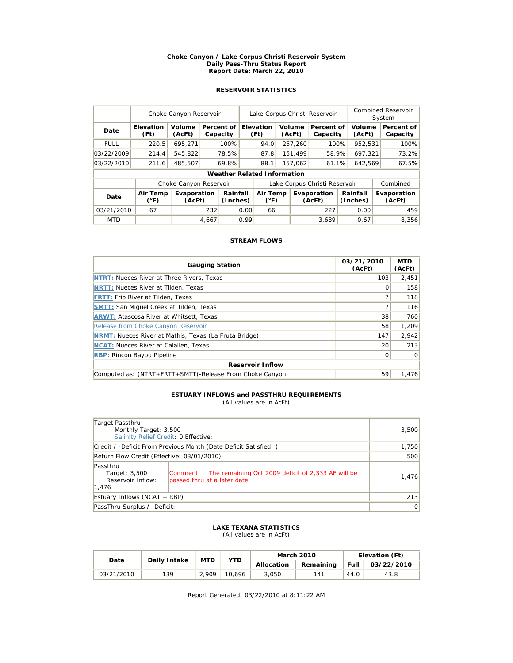#### **Choke Canyon / Lake Corpus Christi Reservoir System Daily Pass-Thru Status Report Report Date: March 22, 2010**

# **RESERVOIR STATISTICS**

|             | Choke Canyon Reservoir   |                        |       |                                    |      | Lake Corpus Christi Reservoir                |  |                  |                        |         |                      | <b>Combined Reservoir</b><br>System |                        |  |
|-------------|--------------------------|------------------------|-------|------------------------------------|------|----------------------------------------------|--|------------------|------------------------|---------|----------------------|-------------------------------------|------------------------|--|
| Date        | <b>Elevation</b><br>(Ft) | Volume<br>(AcFt)       |       | Percent of<br>Capacity             |      | <b>Elevation</b><br>Volume<br>(Ft)<br>(AcFt) |  |                  | Percent of<br>Capacity |         | Volume<br>(AcFt)     |                                     | Percent of<br>Capacity |  |
| <b>FULL</b> | 220.5                    | 695,271                |       | 100%                               |      | 94.0                                         |  | 257,260          | 100%                   |         | 952,531              |                                     | 100%                   |  |
| 03/22/2009  | 214.4                    | 545,822                |       | 78.5%                              |      | 87.8                                         |  | 151.499          | 58.9%                  |         | 697.321              |                                     | 73.2%                  |  |
| 03/22/2010  | 211.6                    | 485.507                |       | 69.8%                              |      | 88.1                                         |  | 157,062<br>61.1% |                        | 642,569 |                      |                                     | 67.5%                  |  |
|             |                          |                        |       | <b>Weather Related Information</b> |      |                                              |  |                  |                        |         |                      |                                     |                        |  |
|             |                          | Choke Canyon Reservoir |       |                                    |      | Lake Corpus Christi Reservoir                |  |                  |                        |         | Combined             |                                     |                        |  |
| Date        | Air Temp<br>(°F)         | Evaporation<br>(AcFt)  |       | Rainfall<br>(Inches)               |      | Air Temp<br>$(^{\circ}F)$                    |  |                  | Evaporation<br>(AcFt)  |         | Rainfall<br>(Inches) |                                     | Evaporation<br>(AcFt)  |  |
| 03/21/2010  | 67                       |                        | 232   | 0.00                               |      | 66                                           |  |                  | 227                    |         | 0.00                 |                                     | 459                    |  |
| <b>MTD</b>  |                          |                        | 4,667 |                                    | 0.99 |                                              |  |                  | 3.689                  |         | 0.67                 |                                     | 8,356                  |  |

## **STREAM FLOWS**

| <b>Gauging Station</b>                                       | 03/21/2010<br>(AcFt) | <b>MTD</b><br>(AcFt) |  |  |  |  |  |
|--------------------------------------------------------------|----------------------|----------------------|--|--|--|--|--|
| <b>NTRT: Nueces River at Three Rivers, Texas</b>             | 103                  | 2,451                |  |  |  |  |  |
| <b>NRTT: Nueces River at Tilden, Texas</b>                   | Ω                    | 158                  |  |  |  |  |  |
| <b>FRTT: Frio River at Tilden, Texas</b>                     |                      | 118                  |  |  |  |  |  |
| <b>SMTT: San Miquel Creek at Tilden, Texas</b>               |                      | 116                  |  |  |  |  |  |
| <b>ARWT: Atascosa River at Whitsett, Texas</b>               | 38                   | 760                  |  |  |  |  |  |
| Release from Choke Canyon Reservoir                          | 58                   | 1,209                |  |  |  |  |  |
| <b>NRMT:</b> Nueces River at Mathis, Texas (La Fruta Bridge) | 147                  | 2.942                |  |  |  |  |  |
| <b>NCAT:</b> Nueces River at Calallen, Texas                 | 20                   | 213                  |  |  |  |  |  |
| <b>RBP:</b> Rincon Bayou Pipeline                            | $\Omega$             | $\Omega$             |  |  |  |  |  |
| <b>Reservoir Inflow</b>                                      |                      |                      |  |  |  |  |  |
| Computed as: (NTRT+FRTT+SMTT)-Release From Choke Canyon      | 59                   | 1.476                |  |  |  |  |  |

# **ESTUARY INFLOWS and PASSTHRU REQUIREMENTS**

(All values are in AcFt)

| Target Passthru<br>Monthly Target: 3,500<br>Salinity Relief Credit: 0 Effective:                                                                      | 3,500 |
|-------------------------------------------------------------------------------------------------------------------------------------------------------|-------|
| Credit / -Deficit From Previous Month (Date Deficit Satisfied:)                                                                                       | 1,750 |
| Return Flow Credit (Effective: 03/01/2010)                                                                                                            | 500   |
| Passthru<br>Comment: The remaining Oct 2009 deficit of 2,333 AF will be<br>Target: 3,500<br>Reservoir Inflow:<br>passed thru at a later date<br>1,476 | 1,476 |
| Estuary Inflows (NCAT $+$ RBP)                                                                                                                        | 213   |
| PassThru Surplus / -Deficit:                                                                                                                          | 0     |

### **LAKE TEXANA STATISTICS** (All values are in AcFt)

| Date       | Daily Intake | <b>MTD</b> | <b>YTD</b> |            | <b>March 2010</b> | Elevation (Ft) |            |  |
|------------|--------------|------------|------------|------------|-------------------|----------------|------------|--|
|            |              |            |            | Allocation | Remaining         | Full           | 03/22/2010 |  |
| 03/21/2010 | 139          | 2.909      | 10.696     | 3.050      | 141               | 44.0           | 43.8       |  |

Report Generated: 03/22/2010 at 8:11:22 AM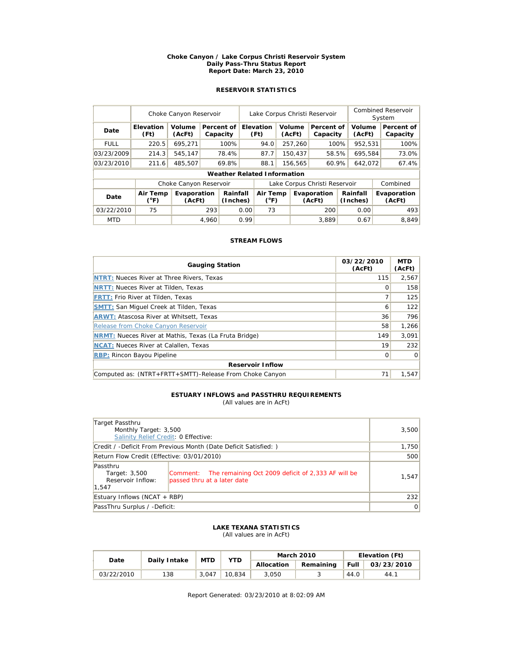#### **Choke Canyon / Lake Corpus Christi Reservoir System Daily Pass-Thru Status Report Report Date: March 23, 2010**

# **RESERVOIR STATISTICS**

|             | Choke Canyon Reservoir   |                        |       |                                    |                               | Lake Corpus Christi Reservoir |         |                       |                        |                      |                  | <b>Combined Reservoir</b><br>System |                        |  |
|-------------|--------------------------|------------------------|-------|------------------------------------|-------------------------------|-------------------------------|---------|-----------------------|------------------------|----------------------|------------------|-------------------------------------|------------------------|--|
| Date        | <b>Elevation</b><br>(Ft) | Volume<br>(AcFt)       |       | Percent of<br>Capacity             |                               | Elevation<br>(Ft)             |         | Volume<br>(AcFt)      | Percent of<br>Capacity |                      | Volume<br>(AcFt) |                                     | Percent of<br>Capacity |  |
| <b>FULL</b> | 220.5                    | 695,271                |       | 100%                               |                               | 94.0                          |         | 257,260               | 100%                   |                      | 952,531          |                                     | 100%                   |  |
| 03/23/2009  | 214.3                    | 545.147                |       | 78.4%                              |                               | 87.7                          |         | 150.437               | 58.5%                  |                      | 695.584          |                                     | 73.0%                  |  |
| 03/23/2010  | 211.6                    | 485.507                |       | 69.8%                              |                               | 88.1                          | 156,565 |                       | 60.9%                  |                      | 642,072          |                                     | 67.4%                  |  |
|             |                          |                        |       | <b>Weather Related Information</b> |                               |                               |         |                       |                        |                      |                  |                                     |                        |  |
|             |                          | Choke Canyon Reservoir |       |                                    | Lake Corpus Christi Reservoir |                               |         |                       |                        | Combined             |                  |                                     |                        |  |
| Date        | Air Temp<br>(°F)         | Evaporation<br>(AcFt)  |       | Rainfall<br>(Inches)               |                               | Air Temp<br>$(^{\circ}F)$     |         | Evaporation<br>(AcFt) |                        | Rainfall<br>(Inches) |                  |                                     | Evaporation<br>(AcFt)  |  |
| 03/22/2010  | 75                       |                        | 293   | 0.00                               |                               | 73                            |         |                       | 200                    |                      | 0.00             |                                     | 493                    |  |
| <b>MTD</b>  |                          |                        | 4.960 |                                    | 0.99                          |                               |         |                       | 3.889                  |                      | 0.67             |                                     | 8.849                  |  |

## **STREAM FLOWS**

| <b>Gauging Station</b>                                       | 03/22/2010<br>(AcFt) | <b>MTD</b><br>(AcFt) |  |  |  |  |  |
|--------------------------------------------------------------|----------------------|----------------------|--|--|--|--|--|
| <b>NTRT: Nueces River at Three Rivers, Texas</b>             | 115                  | 2,567                |  |  |  |  |  |
| <b>NRTT: Nueces River at Tilden, Texas</b>                   | Ω                    | 158                  |  |  |  |  |  |
| <b>FRTT: Frio River at Tilden, Texas</b>                     |                      | 125                  |  |  |  |  |  |
| <b>SMTT: San Miquel Creek at Tilden, Texas</b>               | 6                    | 122                  |  |  |  |  |  |
| <b>ARWT: Atascosa River at Whitsett, Texas</b>               | 36                   | 796                  |  |  |  |  |  |
| Release from Choke Canyon Reservoir                          | 58                   | 1,266                |  |  |  |  |  |
| <b>NRMT:</b> Nueces River at Mathis, Texas (La Fruta Bridge) | 149                  | 3.091                |  |  |  |  |  |
| <b>NCAT:</b> Nueces River at Calallen, Texas                 | 19                   | 232                  |  |  |  |  |  |
| <b>RBP:</b> Rincon Bayou Pipeline                            | 0                    | $\Omega$             |  |  |  |  |  |
| <b>Reservoir Inflow</b>                                      |                      |                      |  |  |  |  |  |
| Computed as: (NTRT+FRTT+SMTT)-Release From Choke Canyon      | 71                   | 1.547                |  |  |  |  |  |

#### **ESTUARY INFLOWS and PASSTHRU REQUIREMENTS** (All values are in AcFt)

| Target Passthru<br>Monthly Target: 3,500<br>Salinity Relief Credit: 0 Effective:                                                                      | 3,500 |
|-------------------------------------------------------------------------------------------------------------------------------------------------------|-------|
| Credit / -Deficit From Previous Month (Date Deficit Satisfied:)                                                                                       | 1,750 |
| Return Flow Credit (Effective: 03/01/2010)                                                                                                            | 500   |
| Passthru<br>Comment: The remaining Oct 2009 deficit of 2,333 AF will be<br>Target: 3,500<br>Reservoir Inflow:<br>passed thru at a later date<br>1.547 | 1,547 |
| Estuary Inflows (NCAT $+$ RBP)                                                                                                                        | 232   |
| PassThru Surplus / -Deficit:                                                                                                                          | 0     |

### **LAKE TEXANA STATISTICS** (All values are in AcFt)

| Date       | Daily Intake | <b>MTD</b> | <b>YTD</b> |            | <b>March 2010</b> | Elevation (Ft) |            |  |
|------------|--------------|------------|------------|------------|-------------------|----------------|------------|--|
|            |              |            |            | Allocation | Remaining         | <b>Full</b>    | 03/23/2010 |  |
| 03/22/2010 | 138          | 3.047      | 10.834     | 3.050      |                   | 44.0           | 44.7       |  |

Report Generated: 03/23/2010 at 8:02:09 AM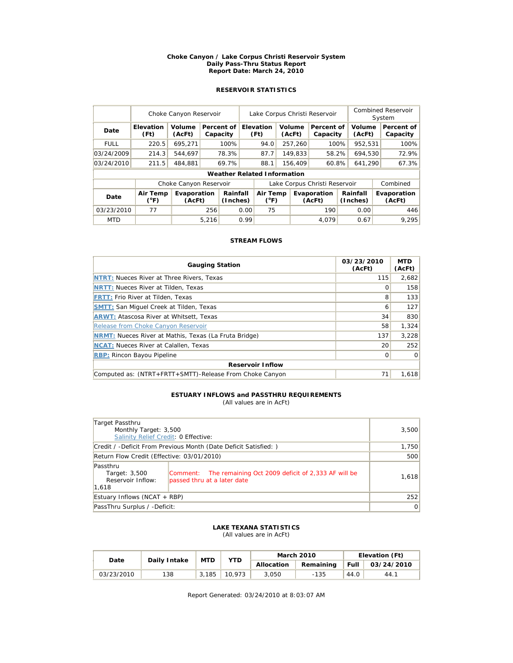#### **Choke Canyon / Lake Corpus Christi Reservoir System Daily Pass-Thru Status Report Report Date: March 24, 2010**

# **RESERVOIR STATISTICS**

|             | Choke Canyon Reservoir    |                        | Lake Corpus Christi Reservoir |                                    |                               |                                              |         |         | <b>Combined Reservoir</b><br>System |          |                      |  |                        |
|-------------|---------------------------|------------------------|-------------------------------|------------------------------------|-------------------------------|----------------------------------------------|---------|---------|-------------------------------------|----------|----------------------|--|------------------------|
| Date        | <b>Elevation</b><br>(Ft)  | Volume<br>(AcFt)       |                               | Percent of<br>Capacity             |                               | <b>Elevation</b><br>Volume<br>(Ft)<br>(AcFt) |         |         | Percent of<br>Capacity              |          | Volume<br>(AcFt)     |  | Percent of<br>Capacity |
| <b>FULL</b> | 220.5                     | 695,271                |                               | 100%                               |                               | 94.0                                         |         | 257,260 | 100%                                |          | 952,531              |  | 100%                   |
| 03/24/2009  | 214.3                     | 544.697                |                               | 78.3%                              |                               | 87.7                                         |         | 149.833 | 58.2%                               |          | 694.530              |  | 72.9%                  |
| 03/24/2010  | 211.5                     | 484.881                |                               | 69.7%                              |                               | 88.1                                         | 156,409 |         | 60.8%                               |          | 641,290              |  | 67.3%                  |
|             |                           |                        |                               | <b>Weather Related Information</b> |                               |                                              |         |         |                                     |          |                      |  |                        |
|             |                           | Choke Canyon Reservoir |                               |                                    | Lake Corpus Christi Reservoir |                                              |         |         |                                     | Combined |                      |  |                        |
| Date        | Air Temp<br>$(^{\circ}F)$ | Evaporation<br>(AcFt)  |                               | Rainfall<br>(Inches)               |                               | Air Temp<br>$(^{\circ}F)$                    |         |         | Evaporation<br>(AcFt)               |          | Rainfall<br>(Inches) |  | Evaporation<br>(AcFt)  |
| 03/23/2010  | 77                        |                        | 256                           |                                    | 0.00                          | 75                                           |         |         | 190                                 |          | 0.00                 |  | 446                    |
| <b>MTD</b>  |                           |                        | 5,216                         |                                    | 0.99                          |                                              |         |         | 4.079                               |          | 0.67                 |  | 9.295                  |

## **STREAM FLOWS**

| <b>Gauging Station</b>                                       | 03/23/2010<br>(AcFt) | <b>MTD</b><br>(AcFt) |  |  |  |  |  |
|--------------------------------------------------------------|----------------------|----------------------|--|--|--|--|--|
| <b>NTRT: Nueces River at Three Rivers, Texas</b>             | 115                  | 2.682                |  |  |  |  |  |
| <b>NRTT: Nueces River at Tilden, Texas</b>                   | Ω                    | 158                  |  |  |  |  |  |
| <b>FRTT: Frio River at Tilden, Texas</b>                     | 8                    | 133                  |  |  |  |  |  |
| <b>SMTT: San Miquel Creek at Tilden, Texas</b>               | 6                    | 127                  |  |  |  |  |  |
| <b>ARWT: Atascosa River at Whitsett, Texas</b>               | 34                   | 830                  |  |  |  |  |  |
| Release from Choke Canyon Reservoir                          | 58                   | 1,324                |  |  |  |  |  |
| <b>NRMT:</b> Nueces River at Mathis, Texas (La Fruta Bridge) | 137                  | 3,228                |  |  |  |  |  |
| <b>NCAT:</b> Nueces River at Calallen, Texas                 | 20                   | 252                  |  |  |  |  |  |
| <b>RBP:</b> Rincon Bayou Pipeline                            | $\Omega$             | $\Omega$             |  |  |  |  |  |
| <b>Reservoir Inflow</b>                                      |                      |                      |  |  |  |  |  |
| Computed as: (NTRT+FRTT+SMTT)-Release From Choke Canyon      | 71                   | 1.618                |  |  |  |  |  |

#### **ESTUARY INFLOWS and PASSTHRU REQUIREMENTS** (All values are in AcFt)

| Target Passthru<br>Monthly Target: 3,500<br>Salinity Relief Credit: 0 Effective: | 3,500                                                                                      |       |
|----------------------------------------------------------------------------------|--------------------------------------------------------------------------------------------|-------|
|                                                                                  | Credit / -Deficit From Previous Month (Date Deficit Satisfied: )                           | 1,750 |
| Return Flow Credit (Effective: 03/01/2010)                                       | 500                                                                                        |       |
| Passthru<br>Target: 3,500<br>Reservoir Inflow:<br>1,618                          | Comment: The remaining Oct 2009 deficit of 2,333 AF will be<br>passed thru at a later date | 1,618 |
| Estuary Inflows (NCAT + RBP)                                                     | 252                                                                                        |       |
| PassThru Surplus / -Deficit:                                                     | $\overline{0}$                                                                             |       |

#### **LAKE TEXANA STATISTICS** (All values are in AcFt)

| Date       | Daily Intake | <b>MTD</b> | <b>YTD</b> |            | <b>March 2010</b> | Elevation (Ft) |            |  |
|------------|--------------|------------|------------|------------|-------------------|----------------|------------|--|
|            |              |            |            | Allocation | Remaining         | Full           | 03/24/2010 |  |
| 03/23/2010 | 138          | 3.185      | 10.973     | 3.050      | $-135$            | 44.0           | 44.1       |  |

Report Generated: 03/24/2010 at 8:03:07 AM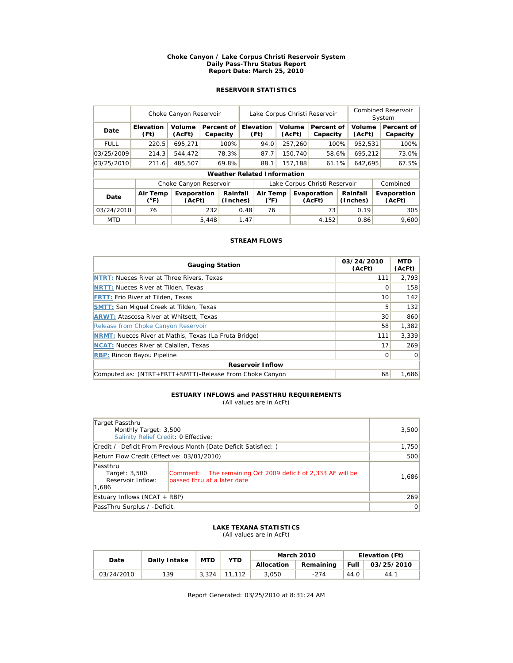#### **Choke Canyon / Lake Corpus Christi Reservoir System Daily Pass-Thru Status Report Report Date: March 25, 2010**

# **RESERVOIR STATISTICS**

|             | Choke Canyon Reservoir    |                        |       |                                    | Lake Corpus Christi Reservoir |                                                    |  |                  |                               |  | <b>Combined Reservoir</b><br>System |                       |                        |
|-------------|---------------------------|------------------------|-------|------------------------------------|-------------------------------|----------------------------------------------------|--|------------------|-------------------------------|--|-------------------------------------|-----------------------|------------------------|
| Date        | Elevation<br>(Ft)         | Volume<br>(AcFt)       |       | Percent of<br>Capacity             |                               | <b>Elevation</b><br>(Ft)                           |  | Volume<br>(AcFt) | Percent of<br>Capacity        |  | Volume<br>(AcFt)                    |                       | Percent of<br>Capacity |
| <b>FULL</b> | 220.5                     | 695,271                |       | 100%                               |                               | 94.0                                               |  | 257,260          | 100%                          |  | 952,531                             |                       | 100%                   |
| 03/25/2009  | 214.3                     | 544.472                |       | 78.3%                              |                               | 87.7                                               |  | 150.740          | 58.6%                         |  | 695.212                             |                       | 73.0%                  |
| 03/25/2010  | 211.6                     | 485,507                |       | 69.8%                              |                               | 88.1                                               |  | 157,188          | 61.1%                         |  | 642,695                             |                       | 67.5%                  |
|             |                           |                        |       | <b>Weather Related Information</b> |                               |                                                    |  |                  |                               |  |                                     |                       |                        |
|             |                           | Choke Canyon Reservoir |       |                                    |                               |                                                    |  |                  | Lake Corpus Christi Reservoir |  |                                     |                       | Combined               |
| Date        | Air Temp<br>$(^{\circ}F)$ | Evaporation<br>(AcFt)  |       | Rainfall<br>(Inches)               |                               | Air Temp<br>Evaporation<br>$(^{\circ}F)$<br>(AcFt) |  |                  | Rainfall<br>(Inches)          |  |                                     | Evaporation<br>(AcFt) |                        |
| 03/24/2010  | 76                        |                        | 232   | 0.48                               |                               | 76                                                 |  |                  | 73                            |  | 0.19                                |                       | 305                    |
| <b>MTD</b>  |                           |                        | 5,448 |                                    | 1.47                          |                                                    |  |                  | 4,152                         |  | 0.86                                |                       | 9.600                  |

## **STREAM FLOWS**

| <b>Gauging Station</b>                                       | 03/24/2010<br>(AcFt) | <b>MTD</b><br>(AcFt) |  |  |  |  |  |
|--------------------------------------------------------------|----------------------|----------------------|--|--|--|--|--|
| NTRT: Nueces River at Three Rivers, Texas                    | 111                  | 2.793                |  |  |  |  |  |
| <b>NRTT: Nueces River at Tilden, Texas</b>                   | Ω                    | 158                  |  |  |  |  |  |
| <b>FRTT: Frio River at Tilden, Texas</b>                     | 10                   | 142                  |  |  |  |  |  |
| <b>SMTT: San Miquel Creek at Tilden, Texas</b>               | 5                    | 132                  |  |  |  |  |  |
| <b>ARWT: Atascosa River at Whitsett, Texas</b>               | 30                   | 860                  |  |  |  |  |  |
| Release from Choke Canyon Reservoir                          | 58                   | 1,382                |  |  |  |  |  |
| <b>NRMT:</b> Nueces River at Mathis, Texas (La Fruta Bridge) | 111                  | 3.339                |  |  |  |  |  |
| <b>NCAT:</b> Nueces River at Calallen, Texas                 | 17                   | 269                  |  |  |  |  |  |
| <b>RBP: Rincon Bayou Pipeline</b>                            | $\Omega$             | $\Omega$             |  |  |  |  |  |
| <b>Reservoir Inflow</b>                                      |                      |                      |  |  |  |  |  |
| Computed as: (NTRT+FRTT+SMTT)-Release From Choke Canyon      | 68                   | 1,686                |  |  |  |  |  |

#### **ESTUARY INFLOWS and PASSTHRU REQUIREMENTS** (All values are in AcFt)

| Target Passthru<br>Monthly Target: 3,500<br>Salinity Relief Credit: 0 Effective: |                                                                                            | 3,500 |
|----------------------------------------------------------------------------------|--------------------------------------------------------------------------------------------|-------|
|                                                                                  | Credit / -Deficit From Previous Month (Date Deficit Satisfied: )                           | 1,750 |
| Return Flow Credit (Effective: 03/01/2010)                                       | 500                                                                                        |       |
| Passthru<br>Target: 3,500<br>Reservoir Inflow:<br>1,686                          | Comment: The remaining Oct 2009 deficit of 2,333 AF will be<br>passed thru at a later date | 1,686 |
| Estuary Inflows (NCAT + RBP)                                                     | 269                                                                                        |       |
| PassThru Surplus / -Deficit:                                                     | $\overline{0}$                                                                             |       |

#### **LAKE TEXANA STATISTICS** (All values are in AcFt)

| Date       | Daily Intake | <b>MTD</b> | <b>YTD</b> |            | <b>March 2010</b> | Elevation (Ft) |            |  |
|------------|--------------|------------|------------|------------|-------------------|----------------|------------|--|
|            |              |            |            | Allocation | Remaining         | <b>Full</b>    | 03/25/2010 |  |
| 03/24/2010 | 139          | 3.324      |            | 3.050      | $-274$            | 44.0           | 44.1       |  |

Report Generated: 03/25/2010 at 8:31:24 AM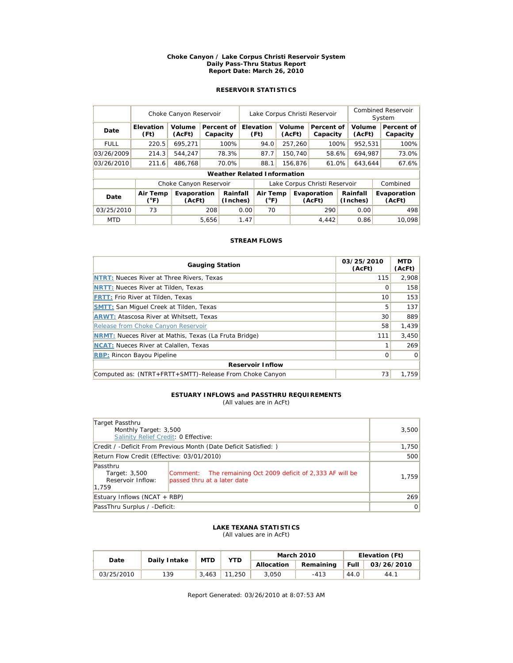#### **Choke Canyon / Lake Corpus Christi Reservoir System Daily Pass-Thru Status Report Report Date: March 26, 2010**

# **RESERVOIR STATISTICS**

|             | Choke Canyon Reservoir |                        | Lake Corpus Christi Reservoir |                                    |      |                                                    |  |                                            | Combined Reservoir<br>System  |                       |         |  |                        |
|-------------|------------------------|------------------------|-------------------------------|------------------------------------|------|----------------------------------------------------|--|--------------------------------------------|-------------------------------|-----------------------|---------|--|------------------------|
| Date        | Elevation<br>(Ft)      | Volume<br>(AcFt)       |                               | Percent of<br>Capacity             |      | Elevation<br>(Ft)                                  |  | Volume<br>Percent of<br>(AcFt)<br>Capacity |                               | Volume<br>(AcFt)      |         |  | Percent of<br>Capacity |
| <b>FULL</b> | 220.5                  | 695,271                |                               | 100%                               |      | 94.0                                               |  | 257,260                                    | 100%                          |                       | 952,531 |  | 100%                   |
| 03/26/2009  | 214.3                  | 544.247                |                               | 78.3%                              |      | 87.7                                               |  | 150,740                                    | 58.6%                         |                       | 694.987 |  | 73.0%                  |
| 03/26/2010  | 211.6                  | 486,768                |                               | 70.0%                              |      | 88.1                                               |  | 156,876                                    | 61.0%                         |                       | 643,644 |  | 67.6%                  |
|             |                        |                        |                               | <b>Weather Related Information</b> |      |                                                    |  |                                            |                               |                       |         |  |                        |
|             |                        | Choke Canyon Reservoir |                               |                                    |      |                                                    |  |                                            | Lake Corpus Christi Reservoir |                       |         |  | Combined               |
| Date        | Air Temp<br>(°F)       | Evaporation<br>(AcFt)  |                               | Rainfall<br>(Inches)               |      | Air Temp<br>Evaporation<br>$(^{\circ}F)$<br>(AcFt) |  | Rainfall<br>(Inches)                       |                               | Evaporation<br>(AcFt) |         |  |                        |
| 03/25/2010  | 73                     |                        | 208                           |                                    | 0.00 | 70                                                 |  |                                            | 290                           |                       | 0.00    |  | 498                    |
| <b>MTD</b>  |                        |                        | 5,656                         |                                    | 1.47 |                                                    |  |                                            | 4,442                         |                       | 0.86    |  | 10.098                 |

## **STREAM FLOWS**

| <b>Gauging Station</b>                                       | 03/25/2010<br>(AcFt) | <b>MTD</b><br>(AcFt) |  |  |  |  |  |  |
|--------------------------------------------------------------|----------------------|----------------------|--|--|--|--|--|--|
| <b>NTRT: Nueces River at Three Rivers, Texas</b>             | 115                  | 2.908                |  |  |  |  |  |  |
| <b>NRTT: Nueces River at Tilden, Texas</b>                   | Ω                    | 158                  |  |  |  |  |  |  |
| <b>FRTT: Frio River at Tilden, Texas</b>                     | 10                   | 153                  |  |  |  |  |  |  |
| <b>SMTT: San Miquel Creek at Tilden, Texas</b>               | 5                    | 137                  |  |  |  |  |  |  |
| <b>ARWT: Atascosa River at Whitsett, Texas</b>               | 30                   | 889                  |  |  |  |  |  |  |
| Release from Choke Canyon Reservoir                          | 58                   | 1,439                |  |  |  |  |  |  |
| <b>NRMT:</b> Nueces River at Mathis, Texas (La Fruta Bridge) | 111                  | 3,450                |  |  |  |  |  |  |
| <b>NCAT:</b> Nueces River at Calallen, Texas                 |                      | 269                  |  |  |  |  |  |  |
| <b>RBP:</b> Rincon Bayou Pipeline                            | 0                    | $\Omega$             |  |  |  |  |  |  |
| <b>Reservoir Inflow</b>                                      |                      |                      |  |  |  |  |  |  |
| Computed as: (NTRT+FRTT+SMTT)-Release From Choke Canyon      | 73                   | 1.759                |  |  |  |  |  |  |

# **ESTUARY INFLOWS and PASSTHRU REQUIREMENTS**

(All values are in AcFt)

| Target Passthru<br>Monthly Target: 3,500<br>Salinity Relief Credit: 0 Effective: |                                                                                                | 3,500 |
|----------------------------------------------------------------------------------|------------------------------------------------------------------------------------------------|-------|
|                                                                                  | Credit / -Deficit From Previous Month (Date Deficit Satisfied:)                                | 1,750 |
| Return Flow Credit (Effective: 03/01/2010)                                       | 500                                                                                            |       |
| Passthru<br>Target: 3,500<br>Reservoir Inflow:<br>1.759                          | The remaining Oct 2009 deficit of 2,333 AF will be<br> Comment:<br>passed thru at a later date | 1,759 |
| Estuary Inflows (NCAT + RBP)                                                     | 269                                                                                            |       |
| PassThru Surplus / -Deficit:                                                     | 0                                                                                              |       |

#### **LAKE TEXANA STATISTICS** (All values are in AcFt)

| Date       | Daily Intake | <b>MTD</b> | <b>YTD</b> |       | <b>March 2010</b> | Elevation (Ft) |            |  |
|------------|--------------|------------|------------|-------|-------------------|----------------|------------|--|
|            |              |            | Allocation |       | Remaining         | <b>Full</b>    | 03/26/2010 |  |
| 03/25/2010 | 139          | 3.463      | 11.250     | 3.050 | $-413$            | 44.0           | 44.1       |  |

Report Generated: 03/26/2010 at 8:07:53 AM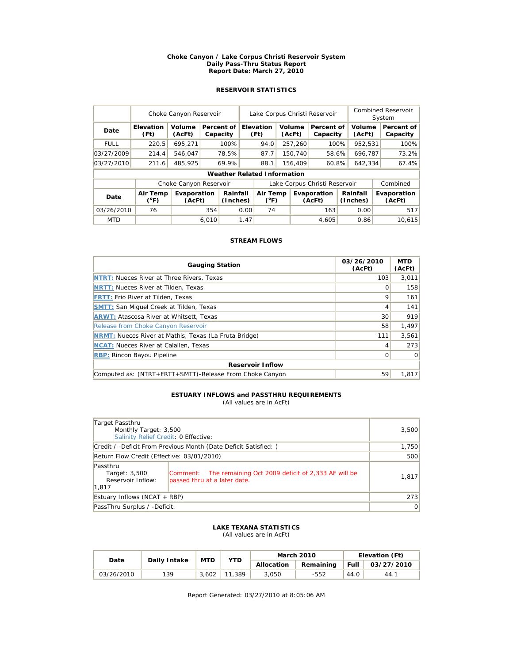#### **Choke Canyon / Lake Corpus Christi Reservoir System Daily Pass-Thru Status Report Report Date: March 27, 2010**

# **RESERVOIR STATISTICS**

|             | Choke Canyon Reservoir    |                        |       |                                    | Lake Corpus Christi Reservoir |                          |  |                  |                               |  | <b>Combined Reservoir</b><br>System |  |                        |
|-------------|---------------------------|------------------------|-------|------------------------------------|-------------------------------|--------------------------|--|------------------|-------------------------------|--|-------------------------------------|--|------------------------|
| Date        | Elevation<br>(Ft)         | Volume<br>(AcFt)       |       | Percent of<br>Capacity             |                               | <b>Elevation</b><br>(Ft) |  | Volume<br>(AcFt) | Percent of<br>Capacity        |  | Volume<br>(AcFt)                    |  | Percent of<br>Capacity |
| <b>FULL</b> | 220.5                     | 695,271                |       | 100%                               |                               | 94.0                     |  | 257,260          | 100%                          |  | 952,531                             |  | 100%                   |
| 03/27/2009  | 214.4                     | 546.047                |       | 78.5%                              |                               | 87.7                     |  | 150.740          | 58.6%                         |  | 696.787                             |  | 73.2%                  |
| 03/27/2010  | 211.6                     | 485.925                |       | 69.9%                              |                               | 88.1                     |  | 156,409          | 60.8%                         |  | 642,334                             |  | 67.4%                  |
|             |                           |                        |       | <b>Weather Related Information</b> |                               |                          |  |                  |                               |  |                                     |  |                        |
|             |                           | Choke Canyon Reservoir |       |                                    |                               |                          |  |                  | Lake Corpus Christi Reservoir |  |                                     |  | Combined               |
| Date        | Air Temp<br>$(^{\circ}F)$ | Evaporation<br>(AcFt)  |       | Rainfall<br>(Inches)               | Air Temp<br>$(^{\circ}F)$     |                          |  |                  | Evaporation<br>(AcFt)         |  | Rainfall<br>(Inches)                |  | Evaporation<br>(AcFt)  |
| 03/26/2010  | 76                        |                        | 354   |                                    | 0.00                          | 74                       |  |                  | 163                           |  | 0.00                                |  | 517                    |
| <b>MTD</b>  |                           |                        | 6.010 |                                    | 1.47                          |                          |  |                  | 4,605                         |  | 0.86                                |  | 10.615                 |

## **STREAM FLOWS**

| <b>Gauging Station</b>                                       | 03/26/2010<br>(AcFt) | <b>MTD</b><br>(AcFt) |  |  |  |  |  |
|--------------------------------------------------------------|----------------------|----------------------|--|--|--|--|--|
| <b>NTRT: Nueces River at Three Rivers, Texas</b>             | 103                  | 3,011                |  |  |  |  |  |
| <b>NRTT: Nueces River at Tilden, Texas</b>                   |                      | 158                  |  |  |  |  |  |
| <b>FRTT: Frio River at Tilden, Texas</b>                     | 9                    | 161                  |  |  |  |  |  |
| <b>SMTT: San Miquel Creek at Tilden, Texas</b>               | 4                    | 141                  |  |  |  |  |  |
| <b>ARWT: Atascosa River at Whitsett, Texas</b>               | 30                   | 919                  |  |  |  |  |  |
| Release from Choke Canyon Reservoir                          | 58                   | 1,497                |  |  |  |  |  |
| <b>NRMT:</b> Nueces River at Mathis, Texas (La Fruta Bridge) | 111                  | 3,561                |  |  |  |  |  |
| <b>NCAT:</b> Nueces River at Calallen, Texas                 | 4                    | 273                  |  |  |  |  |  |
| <b>RBP:</b> Rincon Bayou Pipeline                            | 0                    | 0                    |  |  |  |  |  |
| <b>Reservoir Inflow</b>                                      |                      |                      |  |  |  |  |  |
| Computed as: (NTRT+FRTT+SMTT)-Release From Choke Canyon      | 59                   | 1.817                |  |  |  |  |  |

# **ESTUARY INFLOWS and PASSTHRU REQUIREMENTS**

(All values are in AcFt)

| Target Passthru<br>Monthly Target: 3,500                |                                                                                             | 3,500 |
|---------------------------------------------------------|---------------------------------------------------------------------------------------------|-------|
| Salinity Relief Credit: 0 Effective:                    |                                                                                             |       |
|                                                         | Credit / -Deficit From Previous Month (Date Deficit Satisfied: )                            | 1,750 |
| Return Flow Credit (Effective: 03/01/2010)              | 500                                                                                         |       |
| Passthru<br>Target: 3,500<br>Reservoir Inflow:<br>1,817 | Comment: The remaining Oct 2009 deficit of 2,333 AF will be<br>passed thru at a later date. | 1,817 |
| Estuary Inflows (NCAT + RBP)                            | 273                                                                                         |       |
| PassThru Surplus / -Deficit:                            | 0                                                                                           |       |

#### **LAKE TEXANA STATISTICS** (All values are in AcFt)

| Date       | Daily Intake | <b>MTD</b> | <b>YTD</b> |            | <b>March 2010</b> | Elevation (Ft) |            |  |
|------------|--------------|------------|------------|------------|-------------------|----------------|------------|--|
|            |              |            |            | Allocation | Remaining         | <b>Full</b>    | 03/27/2010 |  |
| 03/26/2010 | 139          | 3.602      | 11,389     | 3.050      | -552              | 44.0           | 44.1       |  |

Report Generated: 03/27/2010 at 8:05:06 AM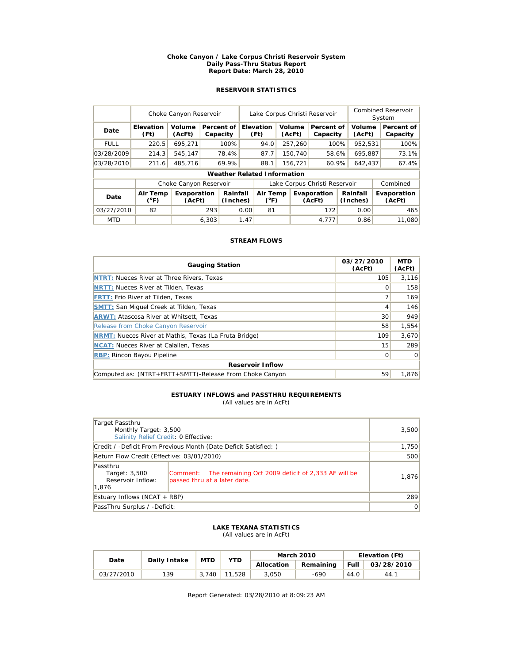#### **Choke Canyon / Lake Corpus Christi Reservoir System Daily Pass-Thru Status Report Report Date: March 28, 2010**

# **RESERVOIR STATISTICS**

|             | Choke Canyon Reservoir   |                        | Lake Corpus Christi Reservoir |                                    |      |                           |  |                  | Combined Reservoir<br>System  |  |                      |  |                        |
|-------------|--------------------------|------------------------|-------------------------------|------------------------------------|------|---------------------------|--|------------------|-------------------------------|--|----------------------|--|------------------------|
| Date        | <b>Elevation</b><br>(Ft) | Volume<br>(AcFt)       |                               | Percent of<br>Capacity             |      | Elevation<br>(Ft)         |  | Volume<br>(AcFt) | Percent of<br>Capacity        |  | Volume<br>(AcFt)     |  | Percent of<br>Capacity |
| <b>FULL</b> | 220.5                    | 695,271                |                               | 100%                               |      | 94.0                      |  | 257,260          | 100%                          |  | 952,531              |  | 100%                   |
| 03/28/2009  | 214.3                    | 545.147                |                               | 78.4%                              |      | 87.7                      |  | 150,740          | 58.6%                         |  | 695.887              |  | 73.1%                  |
| 03/28/2010  | 211.6                    | 485,716                |                               | 69.9%                              |      | 88.1                      |  | 60.9%<br>156,721 |                               |  | 642,437              |  | 67.4%                  |
|             |                          |                        |                               | <b>Weather Related Information</b> |      |                           |  |                  |                               |  |                      |  |                        |
|             |                          | Choke Canyon Reservoir |                               |                                    |      |                           |  |                  | Lake Corpus Christi Reservoir |  |                      |  | Combined               |
| Date        | Air Temp<br>(°F)         | Evaporation<br>(AcFt)  |                               | Rainfall<br>(Inches)               |      | Air Temp<br>$(^{\circ}F)$ |  |                  | Evaporation<br>(AcFt)         |  | Rainfall<br>(Inches) |  | Evaporation<br>(AcFt)  |
| 03/27/2010  | 82                       |                        | 293                           |                                    | 0.00 | 81                        |  |                  | 172                           |  | 0.00                 |  | 465                    |
| <b>MTD</b>  |                          |                        | 6.303                         |                                    | 1.47 |                           |  |                  | 4,777                         |  | 0.86                 |  | 11.080                 |

## **STREAM FLOWS**

| <b>Gauging Station</b>                                       | 03/27/2010<br>(AcFt) | <b>MTD</b><br>(AcFt) |  |  |  |  |  |
|--------------------------------------------------------------|----------------------|----------------------|--|--|--|--|--|
| <b>NTRT: Nueces River at Three Rivers, Texas</b>             | 105                  | 3,116                |  |  |  |  |  |
| <b>NRTT: Nueces River at Tilden, Texas</b>                   |                      | 158                  |  |  |  |  |  |
| <b>FRTT: Frio River at Tilden, Texas</b>                     |                      | 169                  |  |  |  |  |  |
| <b>SMTT: San Miquel Creek at Tilden, Texas</b>               | 4                    | 146                  |  |  |  |  |  |
| <b>ARWT: Atascosa River at Whitsett, Texas</b>               | 30                   | 949                  |  |  |  |  |  |
| Release from Choke Canyon Reservoir                          | 58                   | 1,554                |  |  |  |  |  |
| <b>NRMT:</b> Nueces River at Mathis, Texas (La Fruta Bridge) | 109                  | 3.670                |  |  |  |  |  |
| <b>NCAT:</b> Nueces River at Calallen, Texas                 | 15                   | 289                  |  |  |  |  |  |
| <b>RBP:</b> Rincon Bayou Pipeline                            | 0                    | $\Omega$             |  |  |  |  |  |
| <b>Reservoir Inflow</b>                                      |                      |                      |  |  |  |  |  |
| Computed as: (NTRT+FRTT+SMTT)-Release From Choke Canyon      | 59                   | 1.876                |  |  |  |  |  |

#### **ESTUARY INFLOWS and PASSTHRU REQUIREMENTS** (All values are in AcFt)

| Target Passthru                                                                                                                                        |       |
|--------------------------------------------------------------------------------------------------------------------------------------------------------|-------|
| Monthly Target: 3,500                                                                                                                                  | 3,500 |
| Salinity Relief Credit: 0 Effective:                                                                                                                   |       |
| Credit / -Deficit From Previous Month (Date Deficit Satisfied: )                                                                                       | 1,750 |
| Return Flow Credit (Effective: 03/01/2010)                                                                                                             | 500   |
| Passthru<br>Comment: The remaining Oct 2009 deficit of 2,333 AF will be<br>Target: 3,500<br>Reservoir Inflow:<br>passed thru at a later date.<br>1,876 | 1,876 |
| Estuary Inflows (NCAT + RBP)                                                                                                                           | 289   |
| PassThru Surplus / -Deficit:                                                                                                                           | 0     |

#### **LAKE TEXANA STATISTICS** (All values are in AcFt)

| Date       | Daily Intake | <b>MTD</b> | <b>YTD</b> |            | <b>March 2010</b> | Elevation (Ft) |            |  |
|------------|--------------|------------|------------|------------|-------------------|----------------|------------|--|
|            |              |            |            | Allocation | Remaining         | Full           | 03/28/2010 |  |
| 03/27/2010 | 139          | 3.740      | 11,528     | 3.050      | -690              | 44.0           | 44.1       |  |

Report Generated: 03/28/2010 at 8:09:23 AM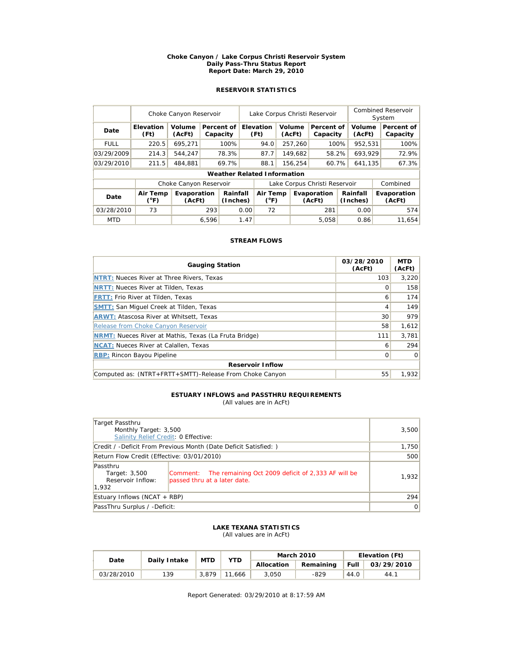#### **Choke Canyon / Lake Corpus Christi Reservoir System Daily Pass-Thru Status Report Report Date: March 29, 2010**

# **RESERVOIR STATISTICS**

|             | Choke Canyon Reservoir |                        |       |                                    | Lake Corpus Christi Reservoir |                           |                  |         |                               |                  | <b>Combined Reservoir</b><br>System |  |                        |
|-------------|------------------------|------------------------|-------|------------------------------------|-------------------------------|---------------------------|------------------|---------|-------------------------------|------------------|-------------------------------------|--|------------------------|
| Date        | Elevation<br>(Ft)      | Volume<br>(AcFt)       |       | Percent of<br>Capacity             |                               | <b>Elevation</b><br>(Ft)  | Volume<br>(AcFt) |         | Percent of<br>Capacity        |                  | Volume<br>(AcFt)                    |  | Percent of<br>Capacity |
| <b>FULL</b> | 220.5                  | 695,271                |       | 100%                               |                               | 94.0                      |                  | 257,260 | 100%                          |                  | 952,531                             |  | 100%                   |
| 03/29/2009  | 214.3                  | 544.247                |       | 78.3%                              |                               | 87.7                      |                  | 149.682 | 58.2%                         |                  | 693.929                             |  | 72.9%                  |
| 03/29/2010  | 211.5                  | 484.881                |       | 69.7%                              |                               | 88.1                      |                  | 156,254 |                               | 60.7%<br>641,135 |                                     |  | 67.3%                  |
|             |                        |                        |       | <b>Weather Related Information</b> |                               |                           |                  |         |                               |                  |                                     |  |                        |
|             |                        | Choke Canyon Reservoir |       |                                    |                               |                           |                  |         | Lake Corpus Christi Reservoir |                  |                                     |  | Combined               |
| Date        | Air Temp<br>(°F)       | Evaporation<br>(AcFt)  |       | Rainfall<br>(Inches)               |                               | Air Temp<br>$(^{\circ}F)$ |                  |         | Evaporation<br>(AcFt)         |                  | Rainfall<br>(Inches)                |  | Evaporation<br>(AcFt)  |
| 03/28/2010  | 73                     |                        | 293   |                                    | 0.00                          | 72                        |                  |         | 281                           |                  | 0.00                                |  | 574                    |
| <b>MTD</b>  |                        |                        | 6.596 |                                    | 1.47                          |                           |                  |         | 5,058                         |                  | 0.86                                |  | 11.654                 |

## **STREAM FLOWS**

| <b>Gauging Station</b>                                       | 03/28/2010<br>(AcFt) | <b>MTD</b><br>(AcFt) |  |  |  |  |  |
|--------------------------------------------------------------|----------------------|----------------------|--|--|--|--|--|
| <b>NTRT: Nueces River at Three Rivers, Texas</b>             | 103                  | 3.220                |  |  |  |  |  |
| <b>NRTT: Nueces River at Tilden, Texas</b>                   |                      | 158                  |  |  |  |  |  |
| <b>FRTT: Frio River at Tilden, Texas</b>                     | 6                    | 174                  |  |  |  |  |  |
| <b>SMTT: San Miquel Creek at Tilden, Texas</b>               | 4                    | 149                  |  |  |  |  |  |
| <b>ARWT: Atascosa River at Whitsett, Texas</b>               | 30                   | 979                  |  |  |  |  |  |
| Release from Choke Canyon Reservoir                          | 58                   | 1,612                |  |  |  |  |  |
| <b>NRMT:</b> Nueces River at Mathis, Texas (La Fruta Bridge) | 111                  | 3.781                |  |  |  |  |  |
| <b>NCAT:</b> Nueces River at Calallen, Texas                 | 6                    | 294                  |  |  |  |  |  |
| <b>RBP:</b> Rincon Bayou Pipeline                            | 0                    | 0                    |  |  |  |  |  |
| <b>Reservoir Inflow</b>                                      |                      |                      |  |  |  |  |  |
| Computed as: (NTRT+FRTT+SMTT)-Release From Choke Canyon      | 55                   | 1.932                |  |  |  |  |  |

#### **ESTUARY INFLOWS and PASSTHRU REQUIREMENTS** (All values are in AcFt)

| Target Passthru<br>Monthly Target: 3,500                                                |                                                             | 3,500 |
|-----------------------------------------------------------------------------------------|-------------------------------------------------------------|-------|
| Salinity Relief Credit: 0 Effective:                                                    |                                                             |       |
| Credit / -Deficit From Previous Month (Date Deficit Satisfied: )                        |                                                             | 1,750 |
| Return Flow Credit (Effective: 03/01/2010)                                              | 500                                                         |       |
| Passthru<br>Target: 3,500<br>Reservoir Inflow:<br>passed thru at a later date.<br>1.932 | Comment: The remaining Oct 2009 deficit of 2,333 AF will be | 1,932 |
| Estuary Inflows (NCAT + RBP)                                                            | 294                                                         |       |
| PassThru Surplus / -Deficit:                                                            | 0                                                           |       |

### **LAKE TEXANA STATISTICS** (All values are in AcFt)

| Date       | Daily Intake | <b>MTD</b> | <b>YTD</b> |            | <b>March 2010</b> | Elevation (Ft) |            |  |
|------------|--------------|------------|------------|------------|-------------------|----------------|------------|--|
|            |              |            |            | Allocation | Remaining         | <b>Full</b>    | 03/29/2010 |  |
| 03/28/2010 | 139          | 3.879      | 11.666     | 3.050      | $-829$            | 44.0           | 44.1       |  |

Report Generated: 03/29/2010 at 8:17:59 AM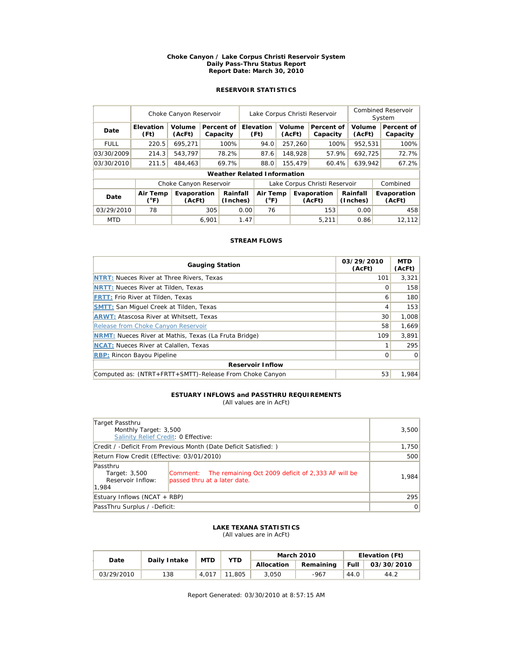#### **Choke Canyon / Lake Corpus Christi Reservoir System Daily Pass-Thru Status Report Report Date: March 30, 2010**

# **RESERVOIR STATISTICS**

|             | Choke Canyon Reservoir   |                        |       |                                    | Lake Corpus Christi Reservoir |                                                    |  |                  |                               |         | Combined Reservoir<br>System |  |                        |
|-------------|--------------------------|------------------------|-------|------------------------------------|-------------------------------|----------------------------------------------------|--|------------------|-------------------------------|---------|------------------------------|--|------------------------|
| Date        | <b>Elevation</b><br>(Ft) | Volume<br>(AcFt)       |       | Percent of<br>Capacity             |                               | Elevation<br>(Ft)                                  |  | Volume<br>(AcFt) | Percent of<br>Capacity        |         | Volume<br>(AcFt)             |  | Percent of<br>Capacity |
| <b>FULL</b> | 220.5                    | 695,271                |       | 100%                               |                               | 94.0                                               |  | 257,260          | 100%                          |         | 952,531                      |  | 100%                   |
| 03/30/2009  | 214.3                    | 543.797                |       | 78.2%                              |                               | 87.6                                               |  | 148,928          | 57.9%                         |         | 692,725                      |  | 72.7%                  |
| 03/30/2010  | 211.5                    | 484,463                |       | 69.7%                              |                               | 88.0                                               |  | 155,479<br>60.4% |                               | 639,942 |                              |  | 67.2%                  |
|             |                          |                        |       | <b>Weather Related Information</b> |                               |                                                    |  |                  |                               |         |                              |  |                        |
|             |                          | Choke Canyon Reservoir |       |                                    |                               |                                                    |  |                  | Lake Corpus Christi Reservoir |         |                              |  | Combined               |
| Date        | Air Temp<br>(°F)         | Evaporation<br>(AcFt)  |       | Rainfall<br>(Inches)               |                               | Air Temp<br>Evaporation<br>$(^{\circ}F)$<br>(AcFt) |  |                  | Rainfall<br>(Inches)          |         | Evaporation<br>(AcFt)        |  |                        |
| 03/29/2010  | 78                       |                        | 305   | 0.00                               |                               | 76                                                 |  |                  | 153                           |         | 0.00                         |  | 458                    |
| <b>MTD</b>  |                          |                        | 6.901 |                                    | 1.47                          |                                                    |  |                  | 5.211                         |         | 0.86                         |  | 12.112                 |

## **STREAM FLOWS**

| <b>Gauging Station</b>                                       | 03/29/2010<br>(AcFt) | <b>MTD</b><br>(AcFt) |  |  |  |  |  |
|--------------------------------------------------------------|----------------------|----------------------|--|--|--|--|--|
| <b>NTRT: Nueces River at Three Rivers, Texas</b>             | 101                  | 3.321                |  |  |  |  |  |
| <b>NRTT: Nueces River at Tilden, Texas</b>                   |                      | 158                  |  |  |  |  |  |
| <b>FRTT: Frio River at Tilden, Texas</b>                     | 6                    | 180                  |  |  |  |  |  |
| <b>SMTT: San Miquel Creek at Tilden, Texas</b>               | 4                    | 153                  |  |  |  |  |  |
| <b>ARWT: Atascosa River at Whitsett, Texas</b>               | 30                   | 1,008                |  |  |  |  |  |
| Release from Choke Canyon Reservoir                          | 58                   | 1,669                |  |  |  |  |  |
| <b>NRMT:</b> Nueces River at Mathis, Texas (La Fruta Bridge) | 109                  | 3.891                |  |  |  |  |  |
| <b>NCAT:</b> Nueces River at Calallen, Texas                 |                      | 295                  |  |  |  |  |  |
| <b>RBP:</b> Rincon Bayou Pipeline                            | 0                    | 0                    |  |  |  |  |  |
| <b>Reservoir Inflow</b>                                      |                      |                      |  |  |  |  |  |
| Computed as: (NTRT+FRTT+SMTT)-Release From Choke Canyon      | 53                   | 1.984                |  |  |  |  |  |

#### **ESTUARY INFLOWS and PASSTHRU REQUIREMENTS** (All values are in AcFt)

| Target Passthru<br>Monthly Target: 3,500<br>Salinity Relief Credit: 0 Effective: | 3,500                                                                                           |       |
|----------------------------------------------------------------------------------|-------------------------------------------------------------------------------------------------|-------|
|                                                                                  | Credit / -Deficit From Previous Month (Date Deficit Satisfied:)                                 | 1,750 |
| Return Flow Credit (Effective: 03/01/2010)                                       | 500                                                                                             |       |
| Passthru<br>Target: 3,500<br>Reservoir Inflow:<br>1.984                          | The remaining Oct 2009 deficit of 2,333 AF will be<br> Comment:<br>passed thru at a later date. | 1,984 |
| Estuary Inflows (NCAT + RBP)                                                     | 295                                                                                             |       |
| PassThru Surplus / -Deficit:                                                     | 0                                                                                               |       |

### **LAKE TEXANA STATISTICS** (All values are in AcFt)

| Date       | Daily Intake | <b>MTD</b> | <b>YTD</b> |            | <b>March 2010</b> | Elevation (Ft) |            |  |
|------------|--------------|------------|------------|------------|-------------------|----------------|------------|--|
|            |              |            |            | Allocation | Remaining         | Full           | 03/30/2010 |  |
| 03/29/2010 | 138          | 4.017      | .805       | 3.050      | -967              | 44.0           | 44.2       |  |

Report Generated: 03/30/2010 at 8:57:15 AM